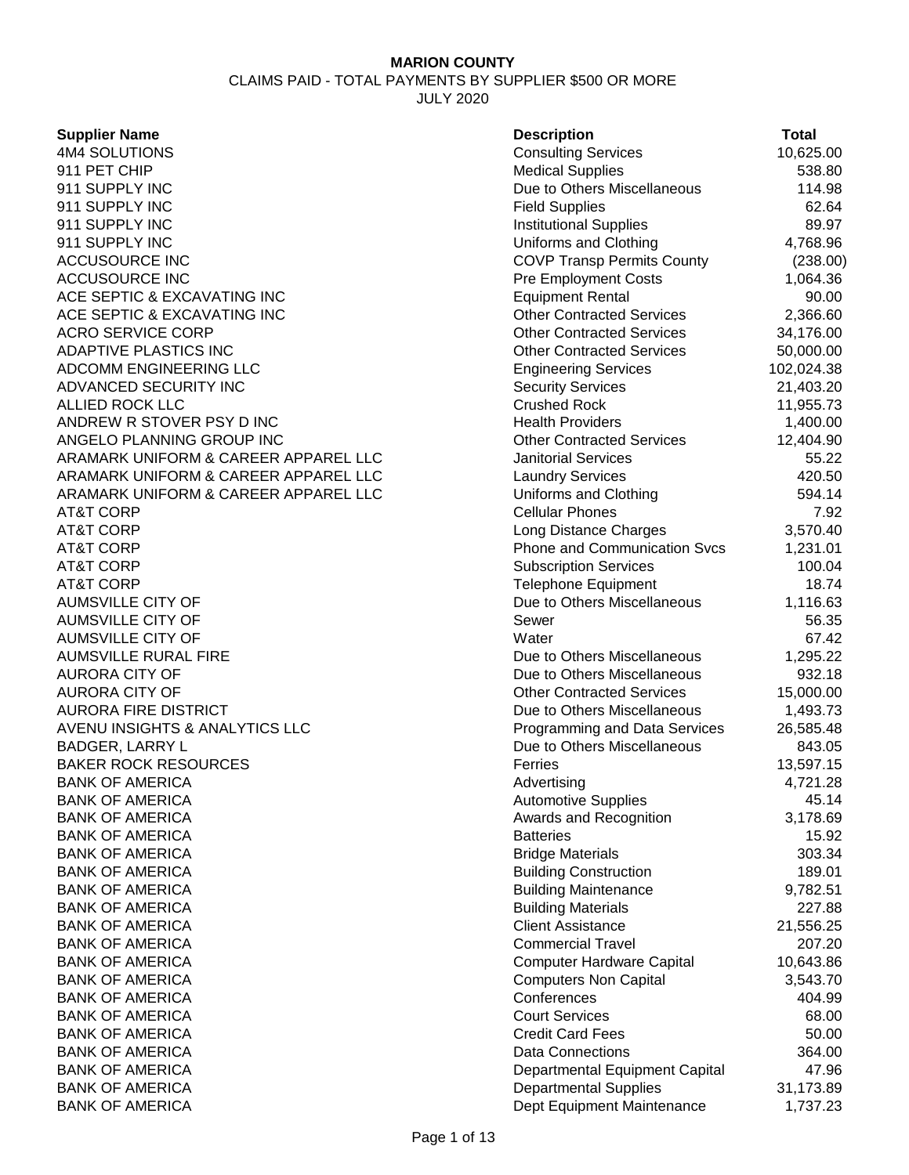CLAIMS PAID - TOTAL PAYMENTS BY SUPPLIER \$500 OR MORE

JULY 2020

| <b>Supplier Name</b>                 | <b>Description</b>                  | Total      |
|--------------------------------------|-------------------------------------|------------|
| 4M4 SOLUTIONS                        | <b>Consulting Services</b>          | 10,625.00  |
| 911 PET CHIP                         | <b>Medical Supplies</b>             | 538.80     |
| 911 SUPPLY INC                       | Due to Others Miscellaneous         | 114.98     |
| 911 SUPPLY INC                       | <b>Field Supplies</b>               | 62.64      |
| 911 SUPPLY INC                       | <b>Institutional Supplies</b>       | 89.97      |
| 911 SUPPLY INC                       | Uniforms and Clothing               | 4,768.96   |
| <b>ACCUSOURCE INC</b>                | <b>COVP Transp Permits County</b>   | (238.00)   |
| <b>ACCUSOURCE INC</b>                | <b>Pre Employment Costs</b>         | 1,064.36   |
| ACE SEPTIC & EXCAVATING INC          | <b>Equipment Rental</b>             | 90.00      |
| ACE SEPTIC & EXCAVATING INC          | <b>Other Contracted Services</b>    | 2,366.60   |
| <b>ACRO SERVICE CORP</b>             | <b>Other Contracted Services</b>    | 34,176.00  |
| ADAPTIVE PLASTICS INC                | <b>Other Contracted Services</b>    | 50,000.00  |
| ADCOMM ENGINEERING LLC               | <b>Engineering Services</b>         | 102,024.38 |
| ADVANCED SECURITY INC                | <b>Security Services</b>            | 21,403.20  |
| <b>ALLIED ROCK LLC</b>               | <b>Crushed Rock</b>                 | 11,955.73  |
| ANDREW R STOVER PSY D INC            | <b>Health Providers</b>             | 1,400.00   |
| ANGELO PLANNING GROUP INC            | <b>Other Contracted Services</b>    | 12,404.90  |
| ARAMARK UNIFORM & CAREER APPAREL LLC | <b>Janitorial Services</b>          | 55.22      |
| ARAMARK UNIFORM & CAREER APPAREL LLC | <b>Laundry Services</b>             | 420.50     |
| ARAMARK UNIFORM & CAREER APPAREL LLC | Uniforms and Clothing               | 594.14     |
| <b>AT&amp;T CORP</b>                 | <b>Cellular Phones</b>              | 7.92       |
| <b>AT&amp;T CORP</b>                 | Long Distance Charges               | 3,570.40   |
| <b>AT&amp;T CORP</b>                 | <b>Phone and Communication Svcs</b> | 1,231.01   |
| <b>AT&amp;T CORP</b>                 | <b>Subscription Services</b>        | 100.04     |
| <b>AT&amp;T CORP</b>                 | <b>Telephone Equipment</b>          | 18.74      |
| <b>AUMSVILLE CITY OF</b>             | Due to Others Miscellaneous         | 1,116.63   |
| <b>AUMSVILLE CITY OF</b>             | Sewer                               | 56.35      |
| <b>AUMSVILLE CITY OF</b>             | Water                               | 67.42      |
| <b>AUMSVILLE RURAL FIRE</b>          | Due to Others Miscellaneous         | 1,295.22   |
| <b>AURORA CITY OF</b>                | Due to Others Miscellaneous         | 932.18     |
| <b>AURORA CITY OF</b>                | <b>Other Contracted Services</b>    | 15,000.00  |
| <b>AURORA FIRE DISTRICT</b>          | Due to Others Miscellaneous         | 1,493.73   |
| AVENU INSIGHTS & ANALYTICS LLC       | Programming and Data Services       | 26,585.48  |
| <b>BADGER, LARRY L</b>               | Due to Others Miscellaneous         | 843.05     |
| <b>BAKER ROCK RESOURCES</b>          | Ferries                             | 13,597.15  |
| <b>BANK OF AMERICA</b>               | Advertising                         | 4,721.28   |
| <b>BANK OF AMERICA</b>               | <b>Automotive Supplies</b>          | 45.14      |
| <b>BANK OF AMERICA</b>               | Awards and Recognition              | 3,178.69   |
| <b>BANK OF AMERICA</b>               | <b>Batteries</b>                    | 15.92      |
| <b>BANK OF AMERICA</b>               | <b>Bridge Materials</b>             | 303.34     |
| <b>BANK OF AMERICA</b>               | <b>Building Construction</b>        | 189.01     |
| <b>BANK OF AMERICA</b>               | <b>Building Maintenance</b>         | 9,782.51   |
| <b>BANK OF AMERICA</b>               | <b>Building Materials</b>           | 227.88     |
| <b>BANK OF AMERICA</b>               | <b>Client Assistance</b>            | 21,556.25  |
| <b>BANK OF AMERICA</b>               | <b>Commercial Travel</b>            | 207.20     |
| <b>BANK OF AMERICA</b>               | <b>Computer Hardware Capital</b>    | 10,643.86  |
| <b>BANK OF AMERICA</b>               | <b>Computers Non Capital</b>        | 3,543.70   |
| <b>BANK OF AMERICA</b>               | Conferences                         | 404.99     |
| <b>BANK OF AMERICA</b>               | <b>Court Services</b>               | 68.00      |
| <b>BANK OF AMERICA</b>               | <b>Credit Card Fees</b>             | 50.00      |
| <b>BANK OF AMERICA</b>               | Data Connections                    | 364.00     |
| <b>BANK OF AMERICA</b>               | Departmental Equipment Capital      | 47.96      |
| <b>BANK OF AMERICA</b>               | <b>Departmental Supplies</b>        | 31,173.89  |
| <b>BANK OF AMERICA</b>               | Dept Equipment Maintenance          | 1,737.23   |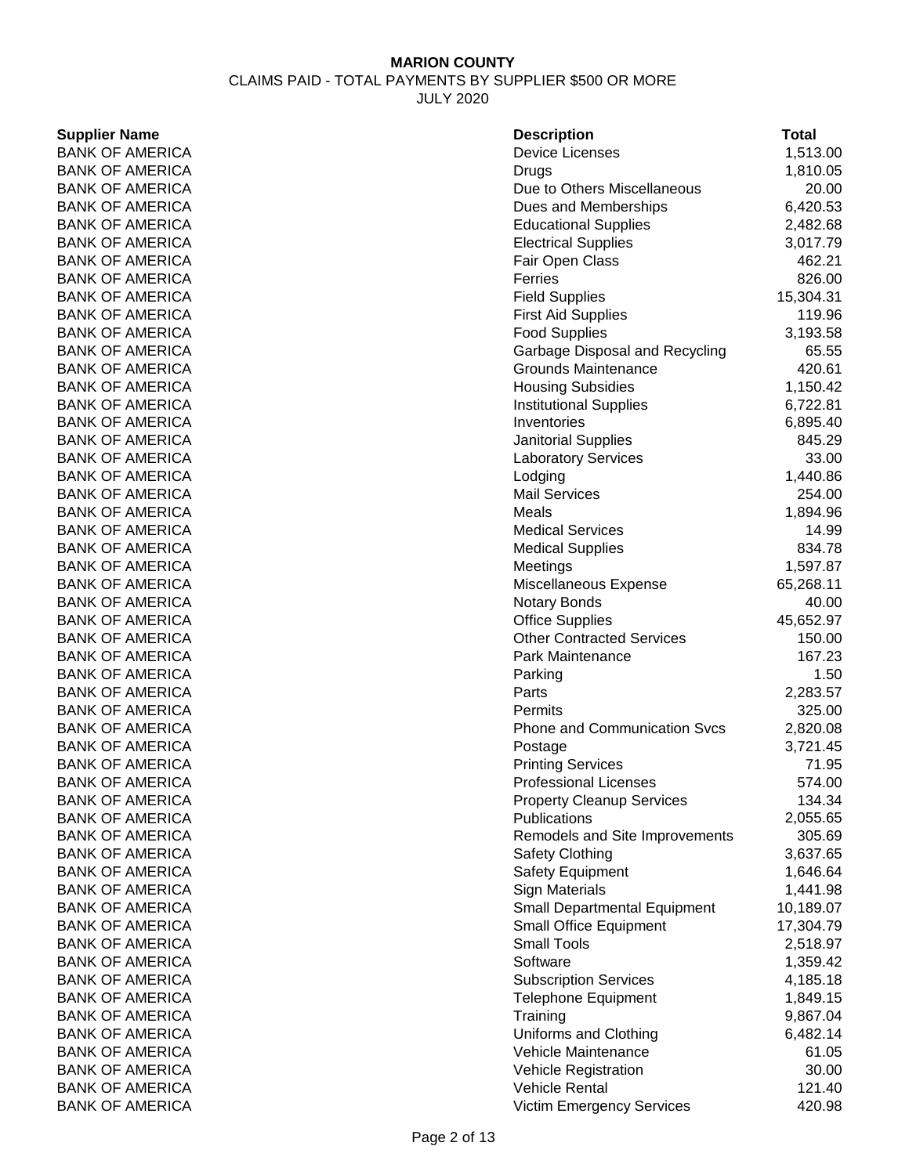CLAIMS PAID - TOTAL PAYMENTS BY SUPPLIER \$500 OR MORE JULY 2020

# **Supplier Name**

| <b>Supplier Name</b>   | <b>Description</b>                  | <b>Total</b> |
|------------------------|-------------------------------------|--------------|
| <b>BANK OF AMERICA</b> | <b>Device Licenses</b>              | 1,513.00     |
| <b>BANK OF AMERICA</b> | Drugs                               | 1,810.05     |
| <b>BANK OF AMERICA</b> | Due to Others Miscellaneous         | 20.00        |
| <b>BANK OF AMERICA</b> | Dues and Memberships                | 6,420.53     |
| <b>BANK OF AMERICA</b> | <b>Educational Supplies</b>         | 2,482.68     |
| <b>BANK OF AMERICA</b> | <b>Electrical Supplies</b>          | 3,017.79     |
| <b>BANK OF AMERICA</b> | Fair Open Class                     | 462.21       |
| <b>BANK OF AMERICA</b> | Ferries                             | 826.00       |
| <b>BANK OF AMERICA</b> | <b>Field Supplies</b>               | 15,304.31    |
| <b>BANK OF AMERICA</b> | <b>First Aid Supplies</b>           | 119.96       |
| <b>BANK OF AMERICA</b> | <b>Food Supplies</b>                | 3,193.58     |
| <b>BANK OF AMERICA</b> | Garbage Disposal and Recycling      | 65.55        |
| <b>BANK OF AMERICA</b> | <b>Grounds Maintenance</b>          | 420.61       |
| <b>BANK OF AMERICA</b> | <b>Housing Subsidies</b>            | 1,150.42     |
| <b>BANK OF AMERICA</b> | <b>Institutional Supplies</b>       | 6,722.81     |
| <b>BANK OF AMERICA</b> | Inventories                         | 6,895.40     |
| <b>BANK OF AMERICA</b> |                                     | 845.29       |
|                        | <b>Janitorial Supplies</b>          |              |
| <b>BANK OF AMERICA</b> | <b>Laboratory Services</b>          | 33.00        |
| <b>BANK OF AMERICA</b> | Lodging                             | 1,440.86     |
| <b>BANK OF AMERICA</b> | <b>Mail Services</b>                | 254.00       |
| <b>BANK OF AMERICA</b> | Meals                               | 1,894.96     |
| <b>BANK OF AMERICA</b> | <b>Medical Services</b>             | 14.99        |
| <b>BANK OF AMERICA</b> | <b>Medical Supplies</b>             | 834.78       |
| <b>BANK OF AMERICA</b> | Meetings                            | 1,597.87     |
| <b>BANK OF AMERICA</b> | Miscellaneous Expense               | 65,268.11    |
| <b>BANK OF AMERICA</b> | <b>Notary Bonds</b>                 | 40.00        |
| <b>BANK OF AMERICA</b> | <b>Office Supplies</b>              | 45,652.97    |
| <b>BANK OF AMERICA</b> | <b>Other Contracted Services</b>    | 150.00       |
| <b>BANK OF AMERICA</b> | Park Maintenance                    | 167.23       |
| <b>BANK OF AMERICA</b> | Parking                             | 1.50         |
| <b>BANK OF AMERICA</b> | Parts                               | 2,283.57     |
| <b>BANK OF AMERICA</b> | Permits                             | 325.00       |
| <b>BANK OF AMERICA</b> | <b>Phone and Communication Svcs</b> | 2,820.08     |
| <b>BANK OF AMERICA</b> | Postage                             | 3,721.45     |
| <b>BANK OF AMERICA</b> | <b>Printing Services</b>            | 71.95        |
| <b>BANK OF AMERICA</b> | Professional Licenses               | 574.00       |
| <b>BANK OF AMERICA</b> | <b>Property Cleanup Services</b>    | 134.34       |
| <b>BANK OF AMERICA</b> | Publications                        | 2,055.65     |
| <b>BANK OF AMERICA</b> | Remodels and Site Improvements      | 305.69       |
| <b>BANK OF AMERICA</b> | <b>Safety Clothing</b>              | 3,637.65     |
| <b>BANK OF AMERICA</b> | <b>Safety Equipment</b>             | 1,646.64     |
| <b>BANK OF AMERICA</b> | <b>Sign Materials</b>               | 1,441.98     |
| <b>BANK OF AMERICA</b> | <b>Small Departmental Equipment</b> | 10,189.07    |
| <b>BANK OF AMERICA</b> | <b>Small Office Equipment</b>       | 17,304.79    |
| <b>BANK OF AMERICA</b> | <b>Small Tools</b>                  | 2,518.97     |
| <b>BANK OF AMERICA</b> | Software                            | 1,359.42     |
| <b>BANK OF AMERICA</b> | <b>Subscription Services</b>        | 4,185.18     |
| <b>BANK OF AMERICA</b> | <b>Telephone Equipment</b>          | 1,849.15     |
| <b>BANK OF AMERICA</b> | Training                            | 9,867.04     |
| <b>BANK OF AMERICA</b> | Uniforms and Clothing               | 6,482.14     |
| <b>BANK OF AMERICA</b> | Vehicle Maintenance                 | 61.05        |
|                        |                                     |              |
| <b>BANK OF AMERICA</b> | Vehicle Registration                | 30.00        |
| <b>BANK OF AMERICA</b> | <b>Vehicle Rental</b>               | 121.40       |
| <b>BANK OF AMERICA</b> | <b>Victim Emergency Services</b>    | 420.98       |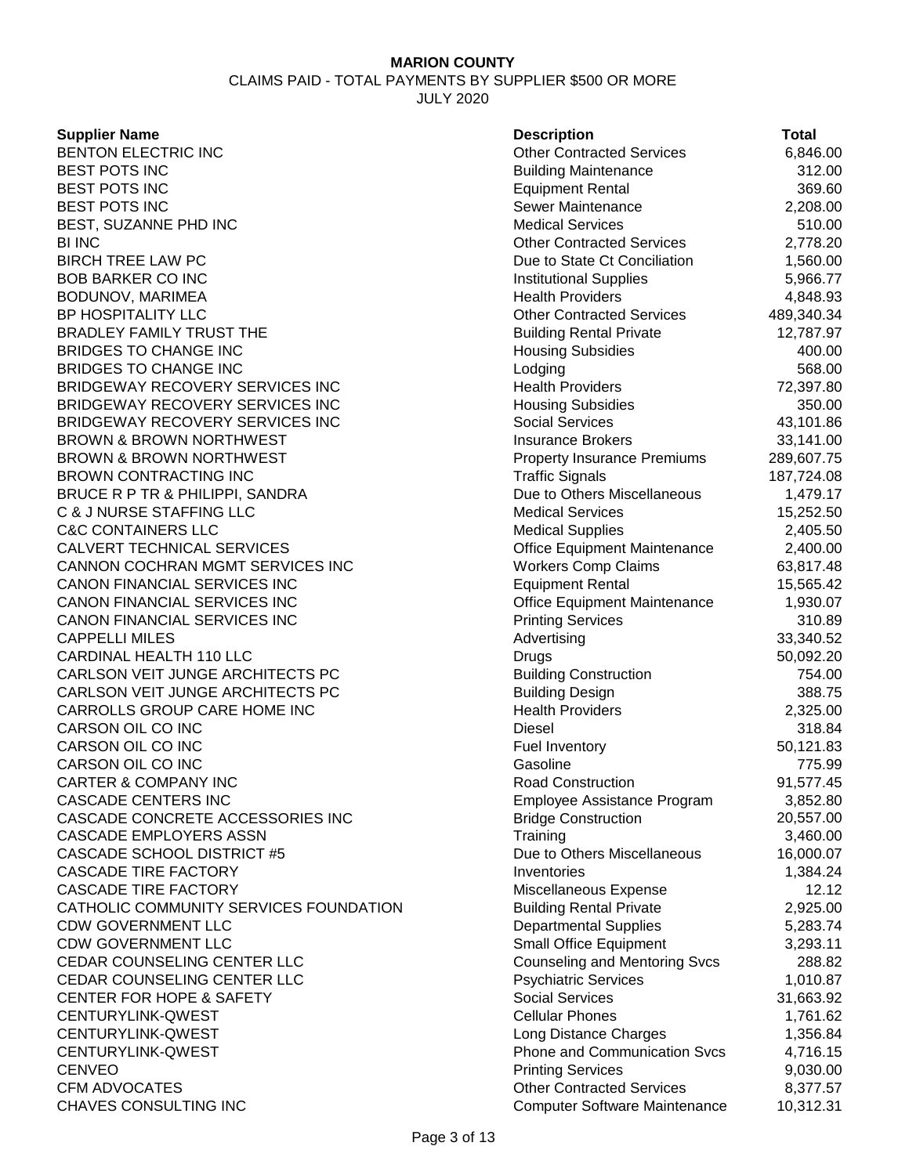CLAIMS PAID - TOTAL PAYMENTS BY SUPPLIER \$500 OR MORE

JULY 2020

#### **Supplier Name**

BENTON ELECTRIC INC BEST POTS INC<br>BEST POTS INC BEST POTS INC Equipment Rental 369.60 BEST POTS INC BEST, SUZANNE PHD INC BI INC Other Contracted Services 2,778.20 BIRCH TREE LAW PC **BOB BARKER CO INC** BODUNOV, MARIMEA BP HOSPITALITY LLC BRADLEY FAMILY TRUST THE BRIDGES TO CHANGE INC BRIDGES TO CHANGE INC. BRIDGEWAY RECOVERY SERVICES INC BRIDGEWAY RECOVERY SERVICES INC BRIDGEWAY RECOVERY SERVICES INC BROWN & BROWN NORTHWEST BROWN & BROWN NORTHWEST BROWN CONTRACTING INC BRUCE R P TR & PHILIPPI, SANDRA C & J NURSE STAFFING LLC **C&C CONTAINERS LLC** CALVERT TECHNICAL SERVICES CANNON COCHRAN MGMT SERVICES INC CANON FINANCIAL SERVICES INC CANON FINANCIAL SERVICES INC CANON FINANCIAL SERVICES INC **CAPPELLI MILES** CARDINAL HEALTH 110 LLC CARLSON VEIT JUNGE ARCHITECTS PC CARLSON VEIT JUNGE ARCHITECTS PC CARROLLS GROUP CARE HOME INC CARSON OIL CO INC CARSON OIL CO INC CARSON OIL CO INC **CARTER & COMPANY INC** CASCADE CENTERS INC CASCADE CONCRETE ACCESSORIES INC CASCADE EMPLOYERS ASSN CASCADE SCHOOL DISTRICT #5 **CASCADE TIRE FACTORY** CASCADE TIRE FACTORY CATHOLIC COMMUNITY SERVICES FOUNDATION CDW GOVERNMENT LLC CDW GOVERNMENT LLC CEDAR COUNSELING CENTER LLC CEDAR COUNSELING CENTER LLC CENTER FOR HOPE & SAFETY CENTURYLINK-QWEST CENTURYLINK-QWEST CENTURYLINK-QWEST CENVEO Printing Services 9,030.00 CFM ADVOCATES CHAVES CONSULTING INC

| <b>Description</b>                   | Total      |
|--------------------------------------|------------|
| <b>Other Contracted Services</b>     | 6,846.00   |
| <b>Building Maintenance</b>          | 312.00     |
| <b>Equipment Rental</b>              | 369.60     |
| Sewer Maintenance                    | 2,208.00   |
| <b>Medical Services</b>              | 510.00     |
| <b>Other Contracted Services</b>     | 2,778.20   |
| Due to State Ct Conciliation         | 1,560.00   |
| <b>Institutional Supplies</b>        | 5,966.77   |
| <b>Health Providers</b>              | 4,848.93   |
| <b>Other Contracted Services</b>     | 489,340.34 |
| <b>Building Rental Private</b>       | 12,787.97  |
| <b>Housing Subsidies</b>             | 400.00     |
| Lodging                              | 568.00     |
| <b>Health Providers</b>              | 72,397.80  |
| <b>Housing Subsidies</b>             | 350.00     |
| <b>Social Services</b>               | 43,101.86  |
| <b>Insurance Brokers</b>             | 33,141.00  |
| <b>Property Insurance Premiums</b>   | 289,607.75 |
| <b>Traffic Signals</b>               | 187,724.08 |
| Due to Others Miscellaneous          | 1,479.17   |
| <b>Medical Services</b>              | 15,252.50  |
| <b>Medical Supplies</b>              | 2,405.50   |
| Office Equipment Maintenance         | 2,400.00   |
| <b>Workers Comp Claims</b>           | 63,817.48  |
| <b>Equipment Rental</b>              | 15,565.42  |
| Office Equipment Maintenance         | 1,930.07   |
| <b>Printing Services</b>             | 310.89     |
| Advertising                          | 33,340.52  |
| Drugs                                | 50,092.20  |
| <b>Building Construction</b>         | 754.00     |
| <b>Building Design</b>               | 388.75     |
| <b>Health Providers</b>              | 2,325.00   |
| <b>Diesel</b>                        | 318.84     |
| <b>Fuel Inventory</b>                | 50,121.83  |
| Gasoline                             | 775.99     |
| <b>Road Construction</b>             | 91,577.45  |
| Employee Assistance Program          | 3,852.80   |
| <b>Bridge Construction</b>           | 20,557.00  |
| Training                             | 3,460.00   |
| Due to Others Miscellaneous          | 16,000.07  |
| Inventories                          | 1,384.24   |
| Miscellaneous Expense                | 12.12      |
| <b>Building Rental Private</b>       | 2,925.00   |
| <b>Departmental Supplies</b>         | 5,283.74   |
| Small Office Equipment               | 3,293.11   |
| <b>Counseling and Mentoring Svcs</b> | 288.82     |
| <b>Psychiatric Services</b>          | 1,010.87   |
| <b>Social Services</b>               | 31,663.92  |
| <b>Cellular Phones</b>               | 1,761.62   |
| Long Distance Charges                | 1,356.84   |
| <b>Phone and Communication Svcs</b>  | 4,716.15   |
| <b>Printing Services</b>             | 9,030.00   |
| <b>Other Contracted Services</b>     | 8,377.57   |
| <b>Computer Software Maintenance</b> | 10,312.31  |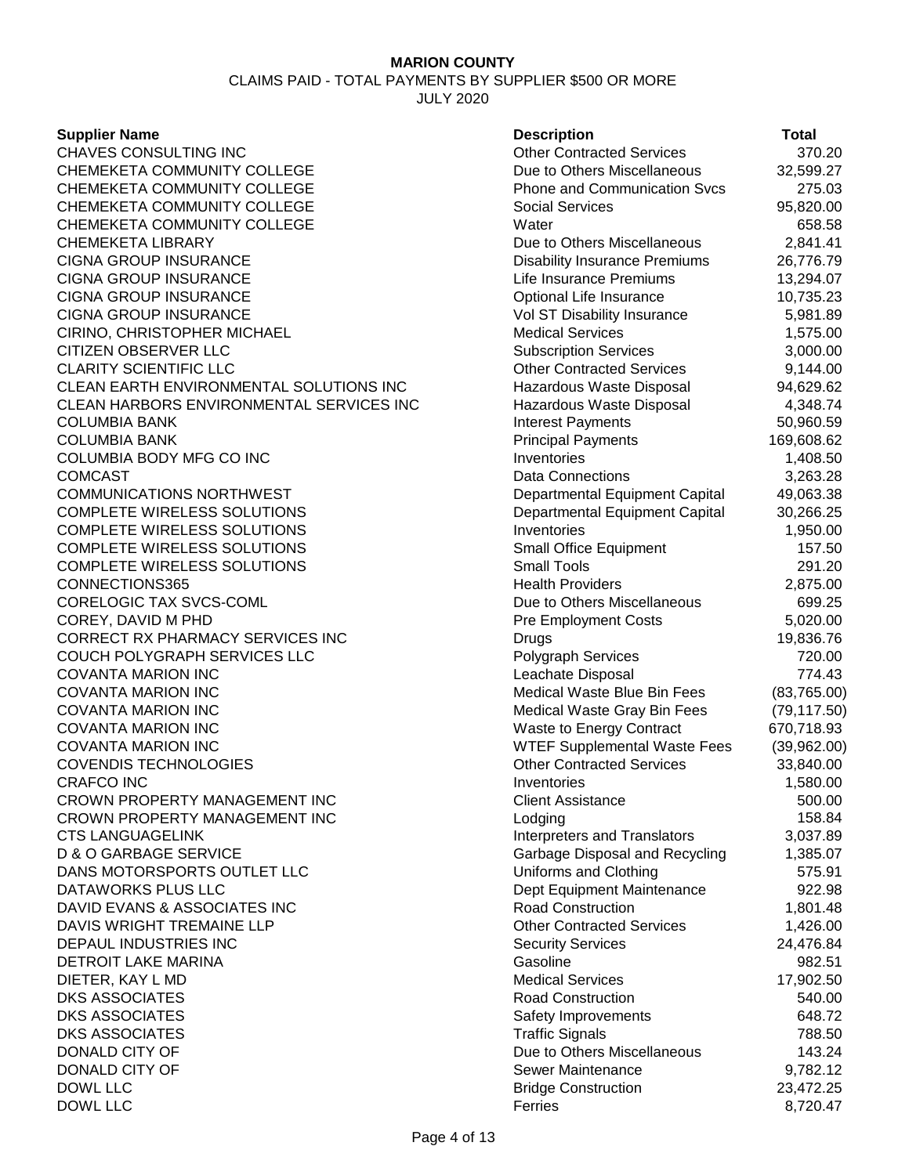CLAIMS PAID - TOTAL PAYMENTS BY SUPPLIER \$500 OR MORE JULY 2020

#### **Supplier Name**

| <b>Supplier Name</b>                     | <b>Description</b>                   | <b>Total</b> |
|------------------------------------------|--------------------------------------|--------------|
| CHAVES CONSULTING INC                    | <b>Other Contracted Services</b>     | 370.20       |
| CHEMEKETA COMMUNITY COLLEGE              | Due to Others Miscellaneous          | 32,599.27    |
| CHEMEKETA COMMUNITY COLLEGE              | <b>Phone and Communication Svcs</b>  | 275.03       |
| CHEMEKETA COMMUNITY COLLEGE              | <b>Social Services</b>               | 95,820.00    |
| CHEMEKETA COMMUNITY COLLEGE              | Water                                | 658.58       |
| CHEMEKETA LIBRARY                        | Due to Others Miscellaneous          | 2,841.41     |
| <b>CIGNA GROUP INSURANCE</b>             | <b>Disability Insurance Premiums</b> | 26,776.79    |
| CIGNA GROUP INSURANCE                    | Life Insurance Premiums              | 13,294.07    |
| <b>CIGNA GROUP INSURANCE</b>             | Optional Life Insurance              | 10,735.23    |
| CIGNA GROUP INSURANCE                    | Vol ST Disability Insurance          | 5,981.89     |
| CIRINO, CHRISTOPHER MICHAEL              | <b>Medical Services</b>              | 1,575.00     |
| <b>CITIZEN OBSERVER LLC</b>              | <b>Subscription Services</b>         | 3,000.00     |
| <b>CLARITY SCIENTIFIC LLC</b>            | <b>Other Contracted Services</b>     | 9,144.00     |
| CLEAN EARTH ENVIRONMENTAL SOLUTIONS INC  | Hazardous Waste Disposal             | 94,629.62    |
| CLEAN HARBORS ENVIRONMENTAL SERVICES INC | Hazardous Waste Disposal             | 4,348.74     |
| COLUMBIA BANK                            | <b>Interest Payments</b>             | 50,960.59    |
| COLUMBIA BANK                            | <b>Principal Payments</b>            | 169,608.62   |
| COLUMBIA BODY MFG CO INC                 | Inventories                          | 1,408.50     |
| COMCAST                                  | <b>Data Connections</b>              | 3,263.28     |
| <b>COMMUNICATIONS NORTHWEST</b>          | Departmental Equipment Capital       | 49,063.38    |
| COMPLETE WIRELESS SOLUTIONS              | Departmental Equipment Capital       | 30,266.25    |
| COMPLETE WIRELESS SOLUTIONS              | Inventories                          | 1,950.00     |
| COMPLETE WIRELESS SOLUTIONS              | Small Office Equipment               | 157.50       |
| COMPLETE WIRELESS SOLUTIONS              | <b>Small Tools</b>                   | 291.20       |
| CONNECTIONS365                           | <b>Health Providers</b>              | 2,875.00     |
| CORELOGIC TAX SVCS-COML                  | Due to Others Miscellaneous          | 699.25       |
| COREY, DAVID M PHD                       | <b>Pre Employment Costs</b>          | 5,020.00     |
| CORRECT RX PHARMACY SERVICES INC         | Drugs                                | 19,836.76    |
| COUCH POLYGRAPH SERVICES LLC             | <b>Polygraph Services</b>            | 720.00       |
| COVANTA MARION INC                       | Leachate Disposal                    | 774.43       |
| <b>COVANTA MARION INC</b>                | Medical Waste Blue Bin Fees          | (83,765.00)  |
| <b>COVANTA MARION INC</b>                | Medical Waste Gray Bin Fees          | (79, 117.50) |
| <b>COVANTA MARION INC</b>                | Waste to Energy Contract             | 670,718.93   |
| <b>COVANTA MARION INC</b>                | <b>WTEF Supplemental Waste Fees</b>  | (39,962.00)  |
| COVENDIS TECHNOLOGIES                    | <b>Other Contracted Services</b>     | 33,840.00    |
| CRAFCO INC                               | Inventories                          | 1,580.00     |
| CROWN PROPERTY MANAGEMENT INC            | <b>Client Assistance</b>             | 500.00       |
| CROWN PROPERTY MANAGEMENT INC            | Lodging                              | 158.84       |
| <b>CTS LANGUAGELINK</b>                  | Interpreters and Translators         | 3,037.89     |
| <b>D &amp; O GARBAGE SERVICE</b>         | Garbage Disposal and Recycling       | 1,385.07     |
| DANS MOTORSPORTS OUTLET LLC              | Uniforms and Clothing                | 575.91       |
| DATAWORKS PLUS LLC                       | Dept Equipment Maintenance           | 922.98       |
| DAVID EVANS & ASSOCIATES INC             | <b>Road Construction</b>             | 1,801.48     |
| DAVIS WRIGHT TREMAINE LLP                | <b>Other Contracted Services</b>     | 1,426.00     |
| DEPAUL INDUSTRIES INC                    | <b>Security Services</b>             | 24,476.84    |
| DETROIT LAKE MARINA                      | Gasoline                             | 982.51       |
| DIETER, KAY L MD                         | <b>Medical Services</b>              | 17,902.50    |
| <b>DKS ASSOCIATES</b>                    | <b>Road Construction</b>             | 540.00       |
| <b>DKS ASSOCIATES</b>                    | Safety Improvements                  | 648.72       |
| <b>DKS ASSOCIATES</b>                    | <b>Traffic Signals</b>               | 788.50       |
| DONALD CITY OF                           | Due to Others Miscellaneous          | 143.24       |
| DONALD CITY OF                           | Sewer Maintenance                    | 9,782.12     |
| <b>DOWL LLC</b>                          | <b>Bridge Construction</b>           | 23,472.25    |
| DOWL LLC                                 | Ferries                              | 8,720.47     |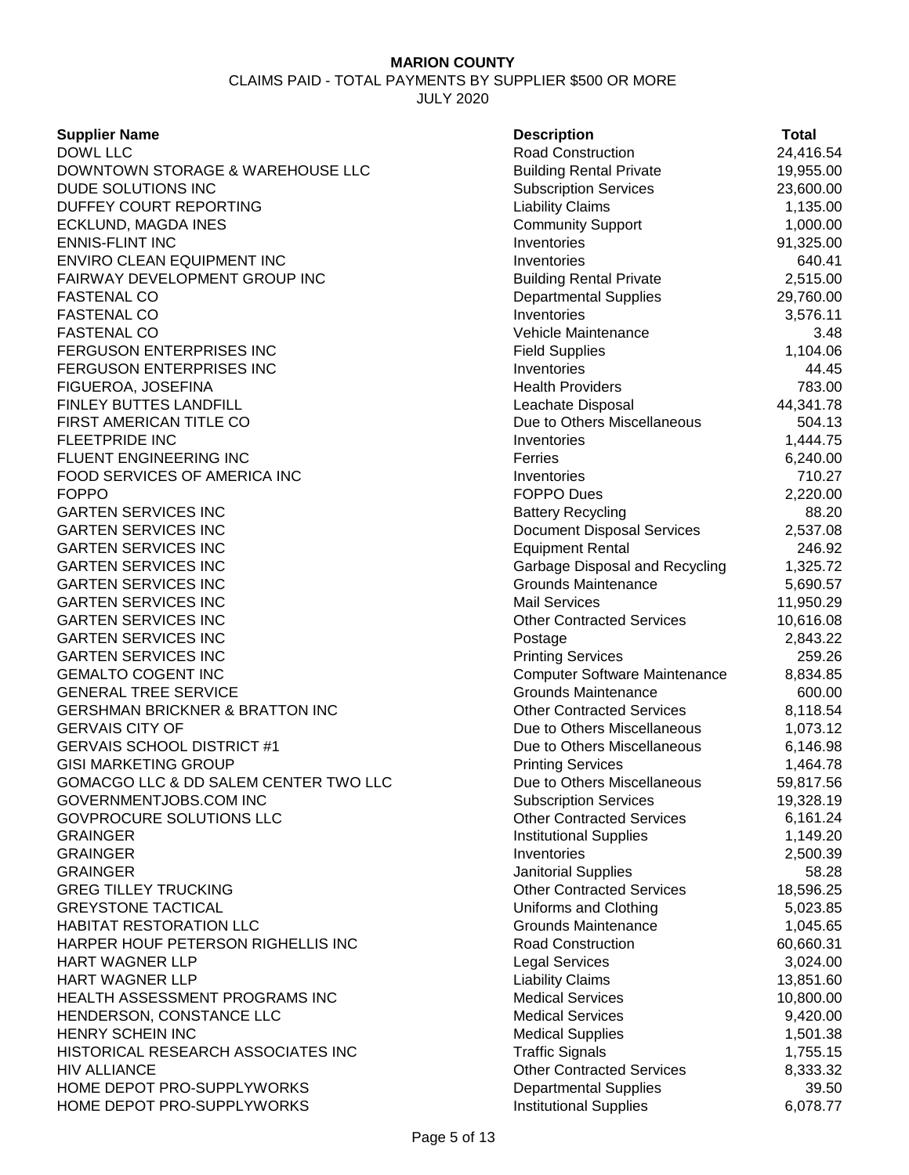CLAIMS PAID - TOTAL PAYMENTS BY SUPPLIER \$500 OR MORE JULY 2020

| <b>Supplier Name</b>                       | <b>Description</b>                           | Total             |
|--------------------------------------------|----------------------------------------------|-------------------|
| <b>DOWL LLC</b>                            | <b>Road Construction</b>                     | 24,416.54         |
| DOWNTOWN STORAGE & WAREHOUSE LLC           | <b>Building Rental Private</b>               | 19,955.00         |
| DUDE SOLUTIONS INC                         | <b>Subscription Services</b>                 | 23,600.00         |
| DUFFEY COURT REPORTING                     | <b>Liability Claims</b>                      | 1,135.00          |
| ECKLUND, MAGDA INES                        | <b>Community Support</b>                     | 1,000.00          |
| <b>ENNIS-FLINT INC</b>                     | Inventories                                  | 91,325.00         |
| ENVIRO CLEAN EQUIPMENT INC                 | Inventories                                  | 640.41            |
| FAIRWAY DEVELOPMENT GROUP INC              | <b>Building Rental Private</b>               | 2,515.00          |
| <b>FASTENAL CO</b>                         | <b>Departmental Supplies</b>                 | 29,760.00         |
| <b>FASTENAL CO</b>                         | Inventories                                  | 3,576.11          |
| <b>FASTENAL CO</b>                         | Vehicle Maintenance                          | 3.48              |
| FERGUSON ENTERPRISES INC                   | <b>Field Supplies</b>                        | 1,104.06          |
| FERGUSON ENTERPRISES INC                   | Inventories                                  | 44.45             |
| FIGUEROA, JOSEFINA                         | <b>Health Providers</b>                      | 783.00            |
| FINLEY BUTTES LANDFILL                     | Leachate Disposal                            | 44,341.78         |
| FIRST AMERICAN TITLE CO                    | Due to Others Miscellaneous                  | 504.13            |
| <b>FLEETPRIDE INC</b>                      | Inventories                                  | 1,444.75          |
| FLUENT ENGINEERING INC                     | Ferries                                      | 6,240.00          |
| FOOD SERVICES OF AMERICA INC               | Inventories                                  | 710.27            |
| <b>FOPPO</b>                               | <b>FOPPO Dues</b>                            | 2,220.00          |
| <b>GARTEN SERVICES INC</b>                 | <b>Battery Recycling</b>                     | 88.20             |
| <b>GARTEN SERVICES INC</b>                 | <b>Document Disposal Services</b>            | 2,537.08          |
| <b>GARTEN SERVICES INC</b>                 | <b>Equipment Rental</b>                      | 246.92            |
| <b>GARTEN SERVICES INC</b>                 | Garbage Disposal and Recycling               | 1,325.72          |
| <b>GARTEN SERVICES INC</b>                 | <b>Grounds Maintenance</b>                   | 5,690.57          |
| <b>GARTEN SERVICES INC</b>                 | <b>Mail Services</b>                         | 11,950.29         |
| <b>GARTEN SERVICES INC</b>                 | <b>Other Contracted Services</b>             | 10,616.08         |
| <b>GARTEN SERVICES INC</b>                 | Postage                                      | 2,843.22          |
| <b>GARTEN SERVICES INC</b>                 | <b>Printing Services</b>                     | 259.26            |
| <b>GEMALTO COGENT INC</b>                  | <b>Computer Software Maintenance</b>         | 8,834.85          |
| <b>GENERAL TREE SERVICE</b>                | <b>Grounds Maintenance</b>                   | 600.00            |
| <b>GERSHMAN BRICKNER &amp; BRATTON INC</b> | <b>Other Contracted Services</b>             | 8,118.54          |
| <b>GERVAIS CITY OF</b>                     | Due to Others Miscellaneous                  | 1,073.12          |
| <b>GERVAIS SCHOOL DISTRICT #1</b>          | Due to Others Miscellaneous                  | 6,146.98          |
| <b>GISI MARKETING GROUP</b>                | <b>Printing Services</b>                     | 1,464.78          |
| GOMACGO LLC & DD SALEM CENTER TWO LLC      | Due to Others Miscellaneous                  | 59,817.56         |
| GOVERNMENTJOBS.COM INC                     | <b>Subscription Services</b>                 | 19,328.19         |
| GOVPROCURE SOLUTIONS LLC                   | <b>Other Contracted Services</b>             |                   |
| <b>GRAINGER</b>                            |                                              | 6,161.24          |
| <b>GRAINGER</b>                            | <b>Institutional Supplies</b><br>Inventories | 1,149.20          |
|                                            |                                              | 2,500.39<br>58.28 |
| <b>GRAINGER</b>                            | <b>Janitorial Supplies</b>                   |                   |
| <b>GREG TILLEY TRUCKING</b>                | <b>Other Contracted Services</b>             | 18,596.25         |
| <b>GREYSTONE TACTICAL</b>                  | Uniforms and Clothing                        | 5,023.85          |
| <b>HABITAT RESTORATION LLC</b>             | <b>Grounds Maintenance</b>                   | 1,045.65          |
| HARPER HOUF PETERSON RIGHELLIS INC         | <b>Road Construction</b>                     | 60,660.31         |
| <b>HART WAGNER LLP</b>                     | <b>Legal Services</b>                        | 3,024.00          |
| HART WAGNER LLP                            | <b>Liability Claims</b>                      | 13,851.60         |
| HEALTH ASSESSMENT PROGRAMS INC             | <b>Medical Services</b>                      | 10,800.00         |
| HENDERSON, CONSTANCE LLC                   | <b>Medical Services</b>                      | 9,420.00          |
| HENRY SCHEIN INC                           | <b>Medical Supplies</b>                      | 1,501.38          |
| HISTORICAL RESEARCH ASSOCIATES INC         | <b>Traffic Signals</b>                       | 1,755.15          |
| <b>HIV ALLIANCE</b>                        | <b>Other Contracted Services</b>             | 8,333.32          |
| HOME DEPOT PRO-SUPPLYWORKS                 | <b>Departmental Supplies</b>                 | 39.50             |
| HOME DEPOT PRO-SUPPLYWORKS                 | <b>Institutional Supplies</b>                | 6,078.77          |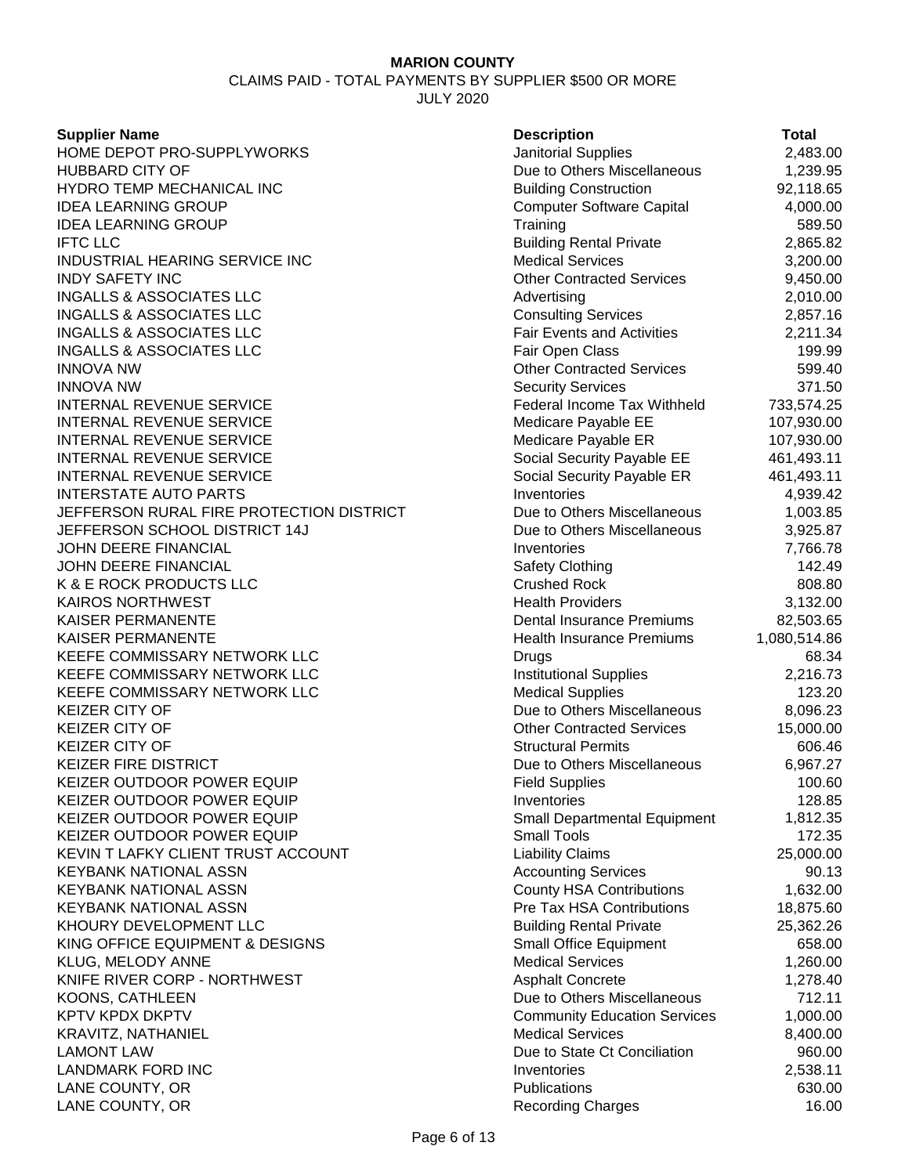CLAIMS PAID - TOTAL PAYMENTS BY SUPPLIER \$500 OR MORE JULY 2020

#### **Supplier Name**

| <b>Supplier Name</b>                     | <b>Description</b>                  | <b>Total</b> |
|------------------------------------------|-------------------------------------|--------------|
| HOME DEPOT PRO-SUPPLYWORKS               | <b>Janitorial Supplies</b>          | 2,483.00     |
| HUBBARD CITY OF                          | Due to Others Miscellaneous         | 1,239.95     |
| HYDRO TEMP MECHANICAL INC                | <b>Building Construction</b>        | 92,118.65    |
| <b>IDEA LEARNING GROUP</b>               | <b>Computer Software Capital</b>    | 4,000.00     |
| <b>IDEA LEARNING GROUP</b>               | Training                            | 589.50       |
| <b>IFTC LLC</b>                          | <b>Building Rental Private</b>      | 2,865.82     |
| INDUSTRIAL HEARING SERVICE INC           | <b>Medical Services</b>             | 3,200.00     |
| <b>INDY SAFETY INC</b>                   | <b>Other Contracted Services</b>    | 9,450.00     |
| <b>INGALLS &amp; ASSOCIATES LLC</b>      | Advertising                         | 2,010.00     |
| <b>INGALLS &amp; ASSOCIATES LLC</b>      | <b>Consulting Services</b>          | 2,857.16     |
| <b>INGALLS &amp; ASSOCIATES LLC</b>      | <b>Fair Events and Activities</b>   | 2,211.34     |
| <b>INGALLS &amp; ASSOCIATES LLC</b>      | Fair Open Class                     | 199.99       |
| innova nw                                | <b>Other Contracted Services</b>    | 599.40       |
| innova nw                                | <b>Security Services</b>            | 371.50       |
| INTERNAL REVENUE SERVICE                 | Federal Income Tax Withheld         | 733,574.25   |
| INTERNAL REVENUE SERVICE                 | Medicare Payable EE                 | 107,930.00   |
| <b>INTERNAL REVENUE SERVICE</b>          | Medicare Payable ER                 | 107,930.00   |
| INTERNAL REVENUE SERVICE                 | Social Security Payable EE          | 461,493.11   |
| INTERNAL REVENUE SERVICE                 | Social Security Payable ER          | 461,493.11   |
| <b>INTERSTATE AUTO PARTS</b>             | Inventories                         | 4,939.42     |
| JEFFERSON RURAL FIRE PROTECTION DISTRICT | Due to Others Miscellaneous         | 1,003.85     |
| JEFFERSON SCHOOL DISTRICT 14J            | Due to Others Miscellaneous         | 3,925.87     |
| JOHN DEERE FINANCIAL                     | Inventories                         | 7,766.78     |
| JOHN DEERE FINANCIAL                     |                                     | 142.49       |
|                                          | <b>Safety Clothing</b>              |              |
| K & E ROCK PRODUCTS LLC                  | <b>Crushed Rock</b>                 | 808.80       |
| KAIROS NORTHWEST                         | <b>Health Providers</b>             | 3,132.00     |
| KAISER PERMANENTE                        | <b>Dental Insurance Premiums</b>    | 82,503.65    |
| KAISER PERMANENTE                        | Health Insurance Premiums           | 1,080,514.86 |
| KEEFE COMMISSARY NETWORK LLC             | Drugs                               | 68.34        |
| KEEFE COMMISSARY NETWORK LLC             | <b>Institutional Supplies</b>       | 2,216.73     |
| KEEFE COMMISSARY NETWORK LLC             | <b>Medical Supplies</b>             | 123.20       |
| KEIZER CITY OF                           | Due to Others Miscellaneous         | 8,096.23     |
| KEIZER CITY OF                           | <b>Other Contracted Services</b>    | 15,000.00    |
| KEIZER CITY OF                           | <b>Structural Permits</b>           | 606.46       |
| <b>KEIZER FIRE DISTRICT</b>              | Due to Others Miscellaneous         | 6,967.27     |
| KEIZER OUTDOOR POWER EQUIP               | <b>Field Supplies</b>               | 100.60       |
| KEIZER OUTDOOR POWER EQUIP               | Inventories                         | 128.85       |
| KEIZER OUTDOOR POWER EQUIP               | <b>Small Departmental Equipment</b> | 1,812.35     |
| KEIZER OUTDOOR POWER EQUIP               | <b>Small Tools</b>                  | 172.35       |
| KEVIN T LAFKY CLIENT TRUST ACCOUNT       | <b>Liability Claims</b>             | 25,000.00    |
| <b>KEYBANK NATIONAL ASSN</b>             | <b>Accounting Services</b>          | 90.13        |
| <b>KEYBANK NATIONAL ASSN</b>             | <b>County HSA Contributions</b>     | 1,632.00     |
| KEYBANK NATIONAL ASSN                    | Pre Tax HSA Contributions           | 18,875.60    |
| KHOURY DEVELOPMENT LLC                   | <b>Building Rental Private</b>      | 25,362.26    |
| KING OFFICE EQUIPMENT & DESIGNS          | <b>Small Office Equipment</b>       | 658.00       |
| KLUG, MELODY ANNE                        | <b>Medical Services</b>             | 1,260.00     |
| KNIFE RIVER CORP - NORTHWEST             | <b>Asphalt Concrete</b>             | 1,278.40     |
| KOONS, CATHLEEN                          | Due to Others Miscellaneous         | 712.11       |
| KPTV KPDX DKPTV                          | <b>Community Education Services</b> | 1,000.00     |
| KRAVITZ, NATHANIEL                       | <b>Medical Services</b>             | 8,400.00     |
| <b>LAMONT LAW</b>                        | Due to State Ct Conciliation        | 960.00       |
| LANDMARK FORD INC                        | Inventories                         | 2,538.11     |
| LANE COUNTY, OR                          | Publications                        | 630.00       |
| LANE COUNTY, OR                          | <b>Recording Charges</b>            | 16.00        |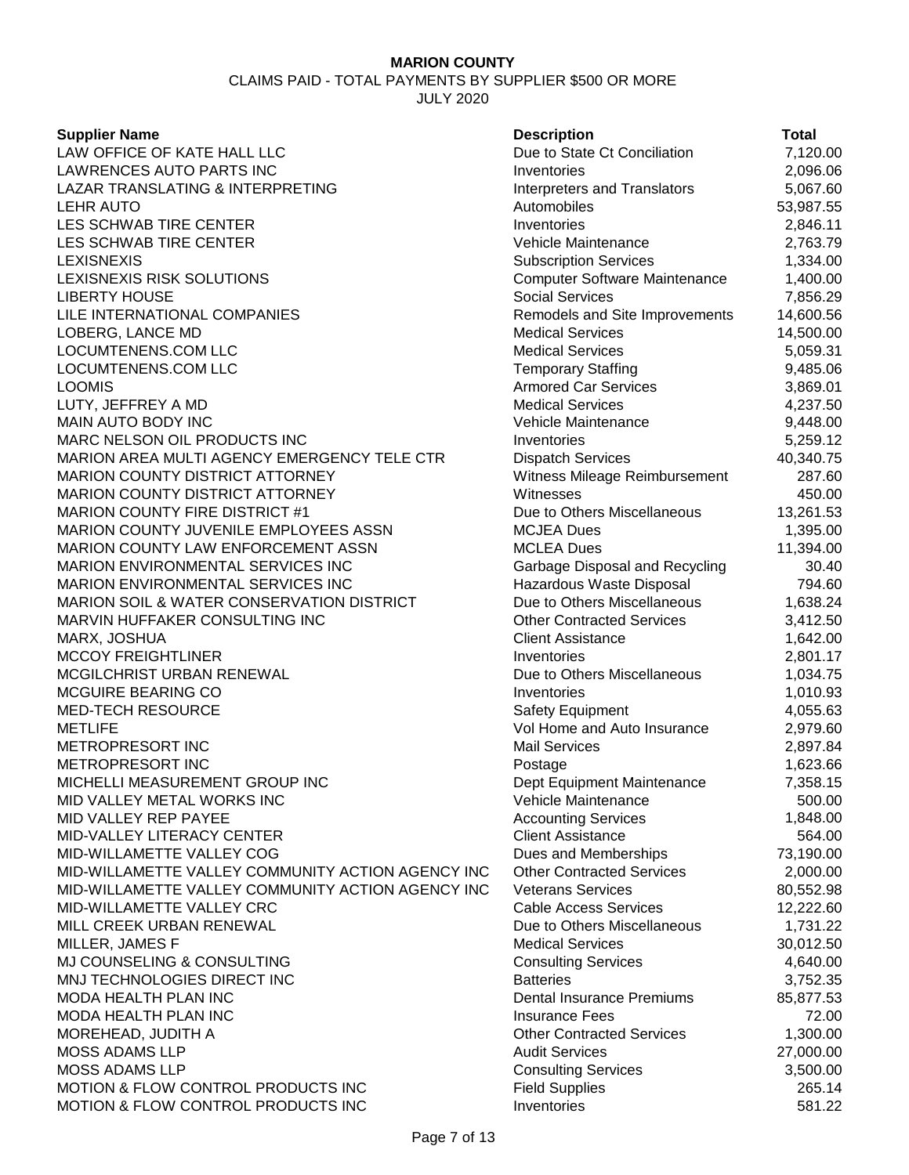CLAIMS PAID - TOTAL PAYMENTS BY SUPPLIER \$500 OR MORE

JULY 2020

#### **Supplier Name**

LAW OFFICE OF KATE HALL LLC LAWRENCES AUTO PARTS INC LAZAR TRANSLATING & INTERPRETING LEHR AUTO Automobiles 53,987.55 LES SCHWAB TIRE CENTER LES SCHWAB TIRE CENTER LEXISNEXIS Subscription Services 1,334.00 LEXISNEXIS RISK SOLUTIONS **LIBERTY HOUSE** LILE INTERNATIONAL COMPANIES LOBERG, LANCE MD LOCUMTENENS.COM LLC LOCUMTENENS.COM LLC LOOMIS Armored Car Services 3,869.01 LUTY, JEFFREY A MD **MAIN AUTO BODY INC** MARC NELSON OIL PRODUCTS INC MARION AREA MULTI AGENCY EMERGENCY TELE CTR MARION COUNTY DISTRICT ATTORNEY MARION COUNTY DISTRICT ATTORNEY MARION COUNTY FIRE DISTRICT #1 MARION COUNTY JUVENILE EMPLOYEES ASSN MARION COUNTY LAW ENFORCEMENT ASSN MARION ENVIRONMENTAL SERVICES INC MARION ENVIRONMENTAL SERVICES INC MARION SOIL & WATER CONSERVATION DISTRICT MARVIN HUFFAKER CONSULTING INC MARX, JOSHUA MCCOY FREIGHTLINER MCGILCHRIST URBAN RENEWAL MCGUIRE BEARING CO MED-TECH RESOURCE METLIFE Vol Home and Auto Insurance 2,979.60 METROPRESORT INC METROPRESORT INC MICHELLI MEASUREMENT GROUP INC MID VALLEY METAL WORKS INC MID VALLEY REP PAYEE MID-VALLEY LITERACY CENTER MID-WILLAMETTE VALLEY COG MID-WILLAMETTE VALLEY COMMUNITY ACTION AGENCY INC MID-WILLAMETTE VALLEY COMMUNITY ACTION AGENCY INC MID-WILLAMETTE VALLEY CRC MILL CREEK URBAN RENEWAL MILLER, JAMES F MJ COUNSELING & CONSULTING MNJ TECHNOLOGIES DIRECT INC MODA HEALTH PLAN INC MODA HEALTH PLAN INC MOREHEAD, JUDITH A MOSS ADAMS LLP MOSS ADAMS LLP MOTION & FLOW CONTROL PRODUCTS INC MOTION & FLOW CONTROL PRODUCTS INC

| <b>Description</b>                   | Total     |
|--------------------------------------|-----------|
| Due to State Ct Conciliation         | 7,120.00  |
| Inventories                          | 2,096.06  |
| <b>Interpreters and Translators</b>  | 5,067.60  |
| Automobiles                          | 53,987.55 |
| Inventories                          | 2,846.11  |
| Vehicle Maintenance                  | 2,763.79  |
| <b>Subscription Services</b>         | 1,334.00  |
| <b>Computer Software Maintenance</b> | 1,400.00  |
| <b>Social Services</b>               | 7,856.29  |
| Remodels and Site Improvements       | 14,600.56 |
| Medical Services                     | 14,500.00 |
| <b>Medical Services</b>              | 5,059.31  |
| Temporary Staffing                   | 9,485.06  |
| <b>Armored Car Services</b>          | 3,869.01  |
| <b>Medical Services</b>              | 4,237.50  |
| Vehicle Maintenance                  | 9,448.00  |
| Inventories                          | 5,259.12  |
| <b>Dispatch Services</b>             | 40,340.75 |
| Witness Mileage Reimbursement        | 287.60    |
| Witnesses                            | 450.00    |
| Due to Others Miscellaneous          | 13,261.53 |
| <b>MCJEA Dues</b>                    | 1,395.00  |
| <b>MCLEA Dues</b>                    | 11,394.00 |
| Garbage Disposal and Recycling       | 30.40     |
| Hazardous Waste Disposal             | 794.60    |
| Due to Others Miscellaneous          | 1,638.24  |
| <b>Other Contracted Services</b>     | 3,412.50  |
| <b>Client Assistance</b>             | 1,642.00  |
| Inventories                          | 2,801.17  |
| Due to Others Miscellaneous          | 1,034.75  |
| Inventories                          | 1,010.93  |
| Safety Equipment                     | 4,055.63  |
| Vol Home and Auto Insurance          | 2,979.60  |
| <b>Mail Services</b>                 | 2,897.84  |
| Postage                              | 1,623.66  |
| Dept Equipment Maintenance           | 7,358.15  |
| Vehicle Maintenance                  | 500.00    |
| <b>Accounting Services</b>           | 1,848.00  |
| <b>Client Assistance</b>             | 564.00    |
| Dues and Memberships                 | 73,190.00 |
| <b>Other Contracted Services</b>     | 2,000.00  |
| <b>Veterans Services</b>             | 80,552.98 |
| <b>Cable Access Services</b>         | 12,222.60 |
| Due to Others Miscellaneous          | 1,731.22  |
| <b>Medical Services</b>              | 30,012.50 |
| <b>Consulting Services</b>           | 4,640.00  |
| <b>Batteries</b>                     | 3,752.35  |
| <b>Dental Insurance Premiums</b>     | 85,877.53 |
| <b>Insurance Fees</b>                | 72.00     |
| <b>Other Contracted Services</b>     | 1,300.00  |
| <b>Audit Services</b>                | 27,000.00 |
| <b>Consulting Services</b>           | 3,500.00  |
| <b>Field Supplies</b>                | 265.14    |
| Inventories                          | 581.22    |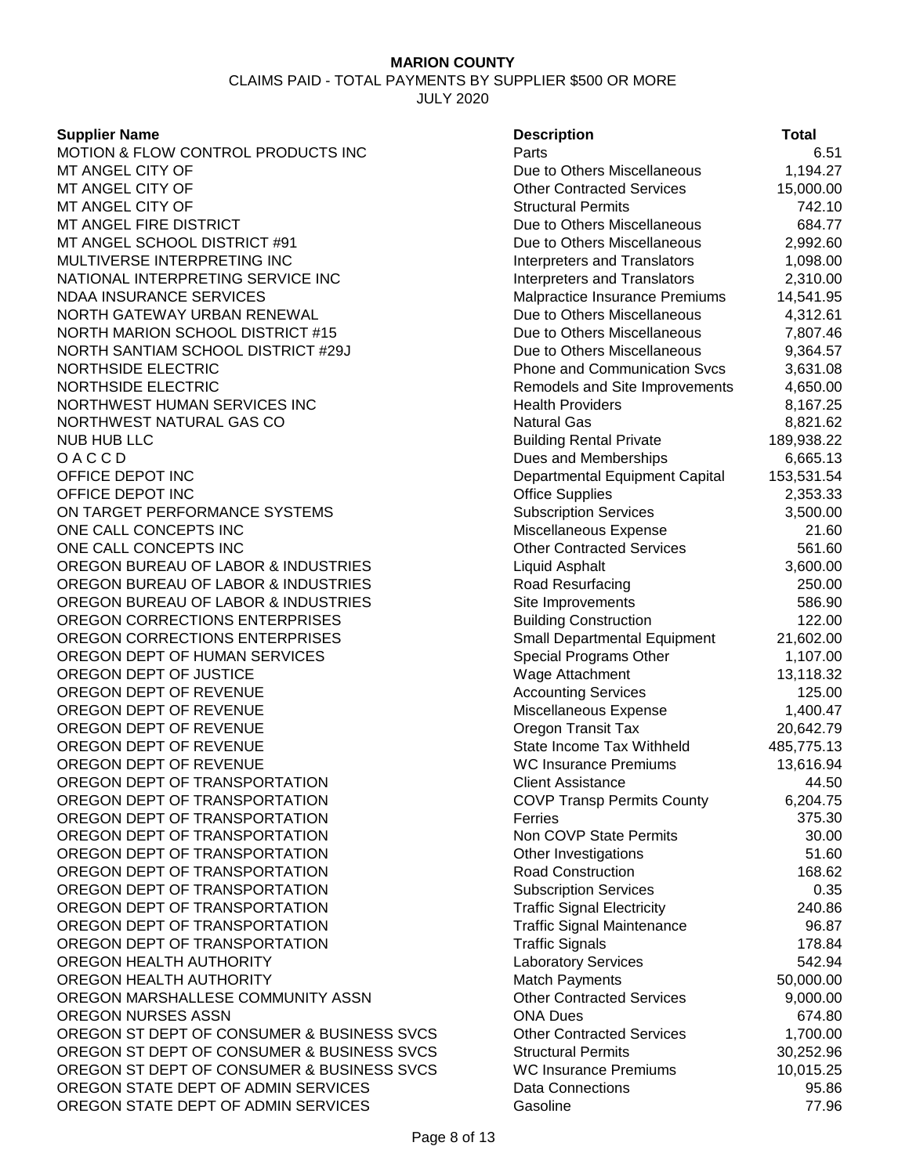#### CLAIMS PAID - TOTAL PAYMENTS BY SUPPLIER \$500 OR MORE JULY 2020

**Supplier Name Description Total** MOTION & FLOW CONTROL PRODUCTS INC FROMEN PARTS PARTS FROM A SAMILY OF A SAMILY OF THE SAMILY OF SAMILY AND HE<br>METANGEL CITY OF THE SAMILY OF SAMILY AND RELATIONS AND RELATIONS AND RELATIONS ON THE SAMILY OF SAMILY OF SAM MT ANGEL CITY OF **DUE TO A SET A SET A SET ARE SERVED AS A SET ANGEL CITY OF A SET ARE SERVED ASSESSED METALLY ANGEL CITY OF A SERVED BY A SERVED ASSAULT A DUE TO A SERVED ASSAULT OF A SERVED ASSAULT OF A SERVED ASSAULT OF Other Contracted Services** MT ANGEL CITY OF STRUCTURE STRUCTURE STRUCTURE STRUCTURE STRUCTURE STRUCTURE STRUCTURE STRUCTURE STRUCTURE STRUCTURE MT ANGEL FIRE DISTRICT **DUE 10 ANGEL FIRE DISTRICT DUE 10 ANGEL ANGEL ANGEL FIRE DISTRICT DUE to Others Miscellaneous** 684.77 MT ANGEL SCHOOL DISTRICT #91 Due to Others Miscellaneous 2,992.60 MULTIVERSE INTERPRETING INC Interpreters and Translators 1,098.00 NATIONAL INTERPRETING SERVICE INC<br>NDAA INSURANCE SERVICES Malpractice Insurance Premiums 14,541.95 NORTH GATEWAY URBAN RENEWAL DUE 10 Due to Others Miscellaneous 4.312.61 NORTH MARION SCHOOL DISTRICT #15 Due to Others Miscellaneous 7,807.46 NORTH SANTIAM SCHOOL DISTRICT #29J Due to Others Miscellaneous 9,364.57<br>NORTHSIDE ELECTRIC DISTRICT #29J Phone and Communication Svcs 3.631.08 NORTHSIDE ELECTRIC Phone and Communication Svcs 3,631.08 Remodels and Site Improvements 4,650.00 NORTHWEST HUMAN SERVICES INC **Health Providers** 8,167.25 NORTHWEST NATURAL GAS CO NATURAL GAS CO NATURAL GAS CO NUB HUB LLC<br>8,821.62<br>Building Rental Private 189.938.22 Building Rental Private 189,938.22 O A C C D 6,665.13<br>OFFICE DEPOT INC **Dues and Memberships** 6,665.13<br>Departmental Equipment Capital 153.531.54 Departmental Equipment Capital 153,531.54<br>Office Supplies 2,353.33 OFFICE DEPOT INC 2.353.33 ON TARGET PERFORMANCE SYSTEMS SUBSCRIPTION Subscription Services 3,500.00 ONE CALL CONCEPTS INC **CONCEPTS INC** 21.60 ONE CALL CONCEPTS INC **OUT A SET A SET A SET A SET A SET A SET A SET A SET A SET A SET A SET A SET A SET A SET A SET A SET A SET A SET A SET A SET A SET A SET A SET A SET A SET A SET A SET A SET A SET A SET A SET A SET A S** OREGON BUREAU OF LABOR & INDUSTRIES Liquid Asphalt 3,600.00 OREGON BUREAU OF LABOR & INDUSTRIES Road Resurfacing Road Resurfacing 250.00 OREGON BUREAU OF LABOR & INDUSTRIES Site Improvements 586.90 OREGON CORRECTIONS ENTERPRISES BUILDING Building Construction 122.00 OREGON CORRECTIONS ENTERPRISES STATE SMALL DEPARTMENTAL Equipment 21,602.00 OREGON DEPT OF HUMAN SERVICES Special Programs Other 1,107.00 OREGON DEPT OF JUSTICE **Wage Attachment** 13,118.32 OREGON DEPT OF REVENUE **Accounting Services** 125.00 OREGON DEPT OF REVENUE **Miscellaneous Expense** 1,400.47 OREGON DEPT OF REVENUE **OREGON** Oregon Transit Tax 20,642.79 OREGON DEPT OF REVENUE **State Income Tax Withheld** 485,775.13 OREGON DEPT OF REVENUE **WC Insurance Premiums** 13,616.94 OREGON DEPT OF TRANSPORTATION Client Assistance 44.50 OREGON DEPT OF TRANSPORTATION COVP Transp Permits County 6,204.75 OREGON DEPT OF TRANSPORTATION FERRIT FERRIT EXAMPLE 275.30 OREGON DEPT OF TRANSPORTATION None COVP State Permits 30.00 OREGON DEPT OF TRANSPORTATION **Other Investigations** 51.60 OREGON DEPT OF TRANSPORTATION **Road Construction** Road Construction 168.62 OREGON DEPT OF TRANSPORTATION SUBSCRIPTION Subscription Services 6.35 OREGON DEPT OF TRANSPORTATION THE TRANSPORTATION TRAFFIC Signal Electricity 240.86 OREGON DEPT OF TRANSPORTATION TRAINS TRAFFIC Signal Maintenance 96.87 OREGON DEPT OF TRANSPORTATION TRANSPORTATION TRANSPORTATION TRANSPORTATION OREGON HEALTH AUTHORITY **Laboratory Services** 542.94 OREGON HEALTH AUTHORITY **Match Payments** Match Payments 50,000,00 OREGON MARSHALLESE COMMUNITY ASSN Other Contracted Services 9,000.00 OREGON NURSES ASSN ONA Dues 674.80 OREGON ST DEPT OF CONSUMER & BUSINESS SVCS Other Contracted Services 1,700.00<br>OREGON ST DEPT OF CONSUMER & BUSINESS SVCS Structural Permits 30.252.96 OREGON ST DEPT OF CONSUMER & BUSINESS SVCS Structural Permits 30,252.96 OREGON ST DEPT OF CONSUMER & BUSINESS SVCS WC Insurance Premiums 10,015.25 OREGON STATE DEPT OF ADMIN SERVICES Data Connections Data Connections 95.86 OREGON STATE DEPT OF ADMIN SERVICES Gasoline Gasoline 61 Contract 19796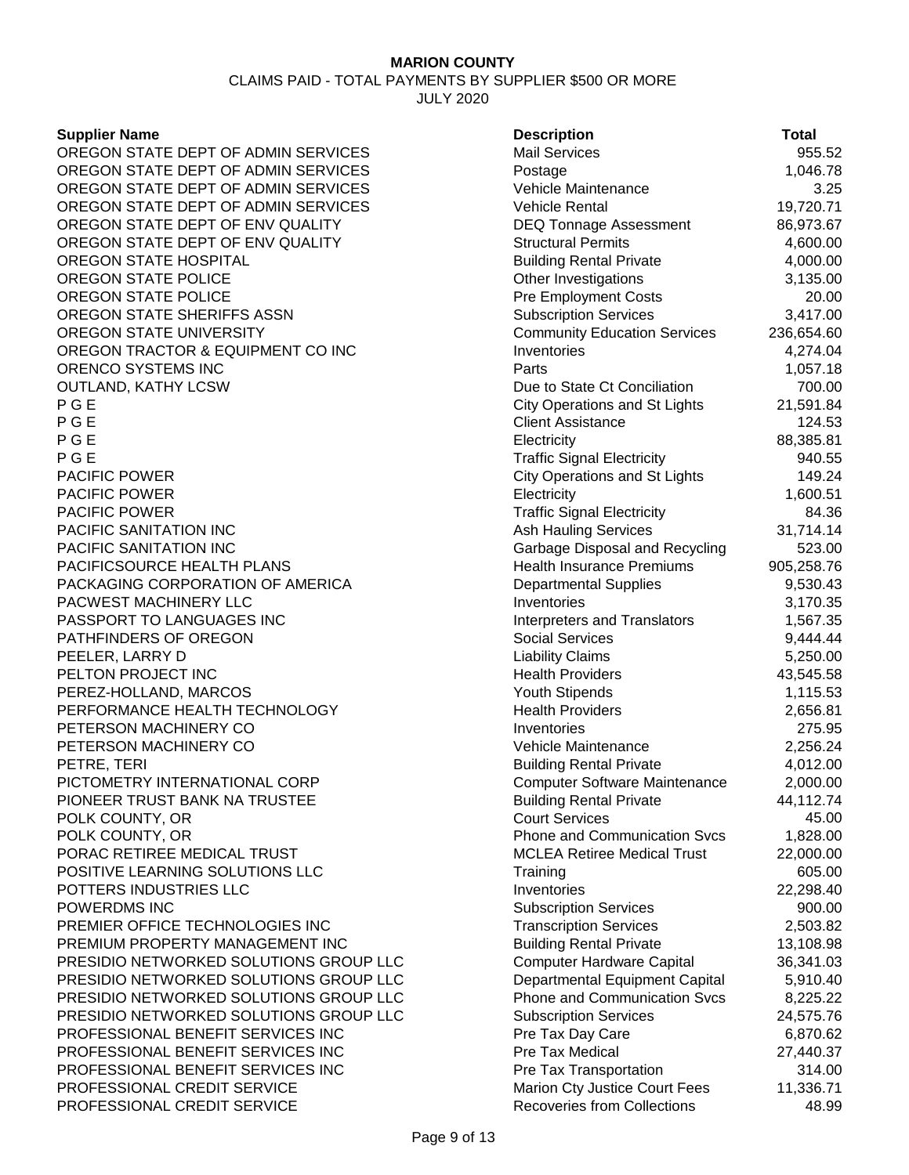# CLAIMS PAID - TOTAL PAYMENTS BY SUPPLIER \$500 OR MORE

JULY 2020

#### **Supplier Name**

OREGON STATE DEPT OF ADMIN SERVICES OREGON STATE DEPT OF ADMIN SERVICES OREGON STATE DEPT OF ADMIN SERVICES OREGON STATE DEPT OF ADMIN SERVICES OREGON STATE DEPT OF ENV QUALITY OREGON STATE DEPT OF ENV QUALITY OREGON STATE HOSPITAL OREGON STATE POLICE OREGON STATE POLICE OREGON STATE SHERIFFS ASSN OREGON STATE UNIVERSITY OREGON TRACTOR & EQUIPMENT CO INC ORENCO SYSTEMS INC **OUTLAND, KATHY LCSW** P G E City Operations and St Lights 21,591.84 P G E Client Assistance 2012 124.53 (P G E Client Assistance 2012) 124.53 (P G E Client Assistance 2012) 124.53 P G E Electricity 88,385.81 P G E Traffic Signal Electricity 940.55 (P G E Traffic Signal Electricity of the state of  $\sim$ PACIFIC POWER **PACIFIC POWER PACIFIC POWER** PACIFIC SANITATION INC PACIFIC SANITATION INC PACIFICSOURCE HEALTH PLANS PACKAGING CORPORATION OF AMERICA **PACWEST MACHINERY LLC** PASSPORT TO LANGUAGES INC PATHFINDERS OF OREGON PEELER, LARRY D PELTON PROJECT INC PEREZ-HOLLAND, MARCOS PERFORMANCE HEALTH TECHNOLOGY **PETERSON MACHINERY CO** PETERSON MACHINERY CO PETRE, TERI Building Rental Private 4,012.00 PICTOMETRY INTERNATIONAL CORP PIONEER TRUST BANK NA TRUSTEE POLK COUNTY, OR POLK COUNTY, OR PORAC RETIREE MEDICAL TRUST POSITIVE LEARNING SOLUTIONS LLC POTTERS INDUSTRIES LLC **POWERDMS INC** PREMIER OFFICE TECHNOLOGIES INC PREMIUM PROPERTY MANAGEMENT INC PRESIDIO NETWORKED SOLUTIONS GROUP LLC PRESIDIO NETWORKED SOLUTIONS GROUP LLC PRESIDIO NETWORKED SOLUTIONS GROUP LLC PRESIDIO NETWORKED SOLUTIONS GROUP LLC PROFESSIONAL BENEFIT SERVICES INC PROFESSIONAL BENEFIT SERVICES INC PROFESSIONAL BENEFIT SERVICES INC **PROFESSIONAL CREDIT SERVICE** PROFESSIONAL CREDIT SERVICE

| <b>Description</b>                                      | Total               |
|---------------------------------------------------------|---------------------|
| <b>Mail Services</b>                                    | 955.52              |
| Postage                                                 | 1,046.78            |
| Vehicle Maintenance                                     | 3.25                |
| Vehicle Rental                                          | 19,720.71           |
| <b>DEQ Tonnage Assessment</b>                           | 86,973.67           |
| <b>Structural Permits</b>                               | 4,600.00            |
| <b>Building Rental Private</b>                          | 4,000.00            |
| Other Investigations                                    | 3,135.00            |
| <b>Pre Employment Costs</b>                             | 20.00               |
| <b>Subscription Services</b>                            | 3,417.00            |
| <b>Community Education Services</b>                     | 236,654.60          |
| Inventories                                             | 4,274.04            |
| Parts                                                   | 1,057.18            |
| Due to State Ct Conciliation                            | 700.00              |
| <b>City Operations and St Lights</b>                    | 21,591.84           |
| <b>Client Assistance</b>                                | 124.53              |
| Electricity                                             | 88,385.81           |
| <b>Traffic Signal Electricity</b>                       | 940.55              |
| <b>City Operations and St Lights</b>                    | 149.24              |
| Electricity                                             | 1,600.51            |
| <b>Traffic Signal Electricity</b>                       | 84.36               |
| <b>Ash Hauling Services</b>                             | 31,714.14           |
| Garbage Disposal and Recycling                          | 523.00              |
| <b>Health Insurance Premiums</b>                        | 905,258.76          |
| <b>Departmental Supplies</b>                            | 9,530.43            |
| Inventories                                             | 3,170.35            |
| <b>Interpreters and Translators</b>                     | 1,567.35            |
| <b>Social Services</b>                                  | 9,444.44            |
| <b>Liability Claims</b>                                 | 5,250.00            |
| <b>Health Providers</b>                                 | 43,545.58           |
| <b>Youth Stipends</b>                                   | 1,115.53            |
| <b>Health Providers</b>                                 | 2,656.81            |
| Inventories                                             | 275.95              |
| Vehicle Maintenance                                     | 2,256.24            |
| <b>Building Rental Private</b>                          | 4,012.00            |
| Computer Software Maintenance                           | 2,000.00            |
| <b>Building Rental Private</b>                          | 44,112.74           |
| <b>Court Services</b>                                   | 45.00               |
| <b>Phone and Communication Svcs</b>                     | 1,828.00            |
| <b>MCLEA Retiree Medical Trust</b>                      | 22,000.00           |
| Training                                                | 605.00              |
| Inventories                                             | 22,298.40           |
| <b>Subscription Services</b>                            | 900.00              |
| <b>Transcription Services</b>                           | 2,503.82            |
| <b>Building Rental Private</b>                          | 13,108.98           |
| <b>Computer Hardware Capital</b>                        | 36,341.03           |
| Departmental Equipment Capital                          | 5,910.40            |
| <b>Phone and Communication Svcs</b>                     | 8,225.22            |
| <b>Subscription Services</b>                            | 24,575.76           |
| Pre Tax Day Care<br>Pre Tax Medical                     | 6,870.62            |
|                                                         | 27,440.37<br>314.00 |
| Pre Tax Transportation<br>Marion Cty Justice Court Fees | 11,336.71           |
| <b>Recoveries from Collections</b>                      | 48.99               |
|                                                         |                     |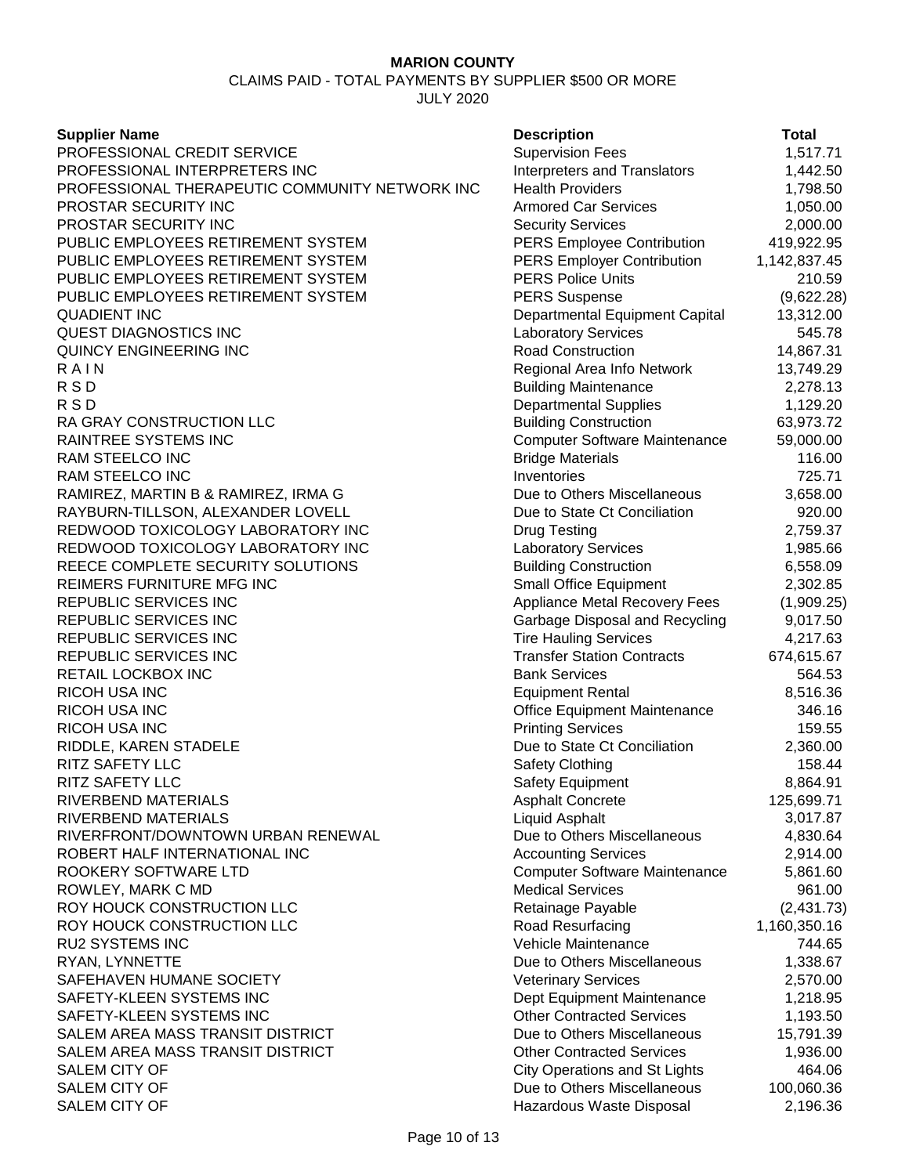CLAIMS PAID - TOTAL PAYMENTS BY SUPPLIER \$500 OR MORE

JULY 2020

**Supplier Name** PROFESSIONAL CREDIT SERVICE PROFESSIONAL INTERPRETERS INC PROFESSIONAL THERAPEUTIC COMMUNITY NETWORK INC. **PROSTAR SECURITY INC** PROSTAR SECURITY INC PUBLIC EMPLOYEES RETIREMENT SYSTEM PUBLIC EMPLOYEES RETIREMENT SYSTEM PUBLIC EMPLOYEES RETIREMENT SYSTEM PUBLIC EMPLOYEES RETIREMENT SYSTEM QUADIENT INC Departmental Equipment Capital 13,312.00 QUEST DIAGNOSTICS INC QUINCY ENGINEERING INC<br>R A I N R A I N Regional Area Info Network 13,749.29 R S D Building Maintenance 2,278.13 R S D Departmental Supplies 1,129.20 RA GRAY CONSTRUCTION LLC RAINTREE SYSTEMS INC RAM STEELCO INC RAM STEELCO INC RAMIREZ, MARTIN B & RAMIREZ, IRMA G RAYBURN-TILLSON, ALEXANDER LOVELL REDWOOD TOXICOLOGY LABORATORY INC REDWOOD TOXICOLOGY LABORATORY INC REECE COMPLETE SECURITY SOLUTIONS REIMERS FURNITURE MFG INC REPUBLIC SERVICES INC REPUBLIC SERVICES INC REPUBLIC SERVICES INC REPUBLIC SERVICES INC **RETAIL LOCKBOX INC RICOH USA INC** RICOH USA INC **RICOH USA INC** RIDDLE, KAREN STADELE **RITZ SAFETY LLC** RITZ SAFETY LLC RIVERBEND MATERIALS RIVERBEND MATERIALS RIVERFRONT/DOWNTOWN URBAN RENEWAL ROBERT HALF INTERNATIONAL INC ROOKERY SOFTWARE LTD ROWLEY, MARK C MD ROY HOUCK CONSTRUCTION LLC ROY HOUCK CONSTRUCTION LLC **RU2 SYSTEMS INC** RYAN, LYNNETTE SAFEHAVEN HUMANE SOCIETY SAFETY-KLEEN SYSTEMS INC SAFETY-KLEEN SYSTEMS INC SALEM AREA MASS TRANSIT DISTRICT SALEM AREA MASS TRANSIT DISTRICT SALEM CITY OF SALEM CITY OF SALEM CITY OF

| <b>Description</b>                   | <b>Total</b> |
|--------------------------------------|--------------|
| <b>Supervision Fees</b>              | 1,517.71     |
| Interpreters and Translators         | 1,442.50     |
| <b>Health Providers</b>              | 1,798.50     |
| <b>Armored Car Services</b>          | 1,050.00     |
| <b>Security Services</b>             | 2,000.00     |
| <b>PERS Employee Contribution</b>    | 419,922.95   |
| <b>PERS Employer Contribution</b>    | 1,142,837.45 |
| <b>PERS Police Units</b>             | 210.59       |
| <b>PERS Suspense</b>                 | (9,622.28)   |
| Departmental Equipment Capital       | 13,312.00    |
| Laboratory Services                  | 545.78       |
| <b>Road Construction</b>             | 14,867.31    |
| Regional Area Info Network           | 13,749.29    |
| <b>Building Maintenance</b>          | 2,278.13     |
| Departmental Supplies                | 1,129.20     |
| <b>Building Construction</b>         | 63,973.72    |
| <b>Computer Software Maintenance</b> | 59,000.00    |
| <b>Bridge Materials</b>              | 116.00       |
| Inventories                          | 725.71       |
| Due to Others Miscellaneous          | 3,658.00     |
| Due to State Ct Conciliation         | 920.00       |
| Drug Testing                         | 2,759.37     |
| Laboratory Services                  | 1,985.66     |
| <b>Building Construction</b>         | 6,558.09     |
| <b>Small Office Equipment</b>        | 2,302.85     |
| Appliance Metal Recovery Fees        | (1,909.25)   |
| Garbage Disposal and Recycling       | 9,017.50     |
| <b>Tire Hauling Services</b>         | 4,217.63     |
| <b>Transfer Station Contracts</b>    | 674,615.67   |
| <b>Bank Services</b>                 | 564.53       |
| Equipment Rental                     | 8,516.36     |
| Office Equipment Maintenance         | 346.16       |
| <b>Printing Services</b>             | 159.55       |
| Due to State Ct Conciliation         | 2,360.00     |
| Safety Clothing                      | 158.44       |
| Safety Equipment                     | 8,864.91     |
| <b>Asphalt Concrete</b>              | 125,699.71   |
| Liquid Asphalt                       | 3,017.87     |
| Due to Others Miscellaneous          | 4,830.64     |
| <b>Accounting Services</b>           | 2,914.00     |
| <b>Computer Software Maintenance</b> | 5,861.60     |
| <b>Medical Services</b>              | 961.00       |
| Retainage Payable                    | (2, 431.73)  |
| Road Resurfacing                     | 1,160,350.16 |
| Vehicle Maintenance                  | 744.65       |
| Due to Others Miscellaneous          | 1,338.67     |
| Veterinary Services                  | 2,570.00     |
| Dept Equipment Maintenance           | 1,218.95     |
| <b>Other Contracted Services</b>     | 1,193.50     |
| Due to Others Miscellaneous          | 15,791.39    |
| <b>Other Contracted Services</b>     | 1,936.00     |
| City Operations and St Lights        | 464.06       |
| Due to Others Miscellaneous          | 100,060.36   |
| Hazardous Waste Disposal             | 2 196 36     |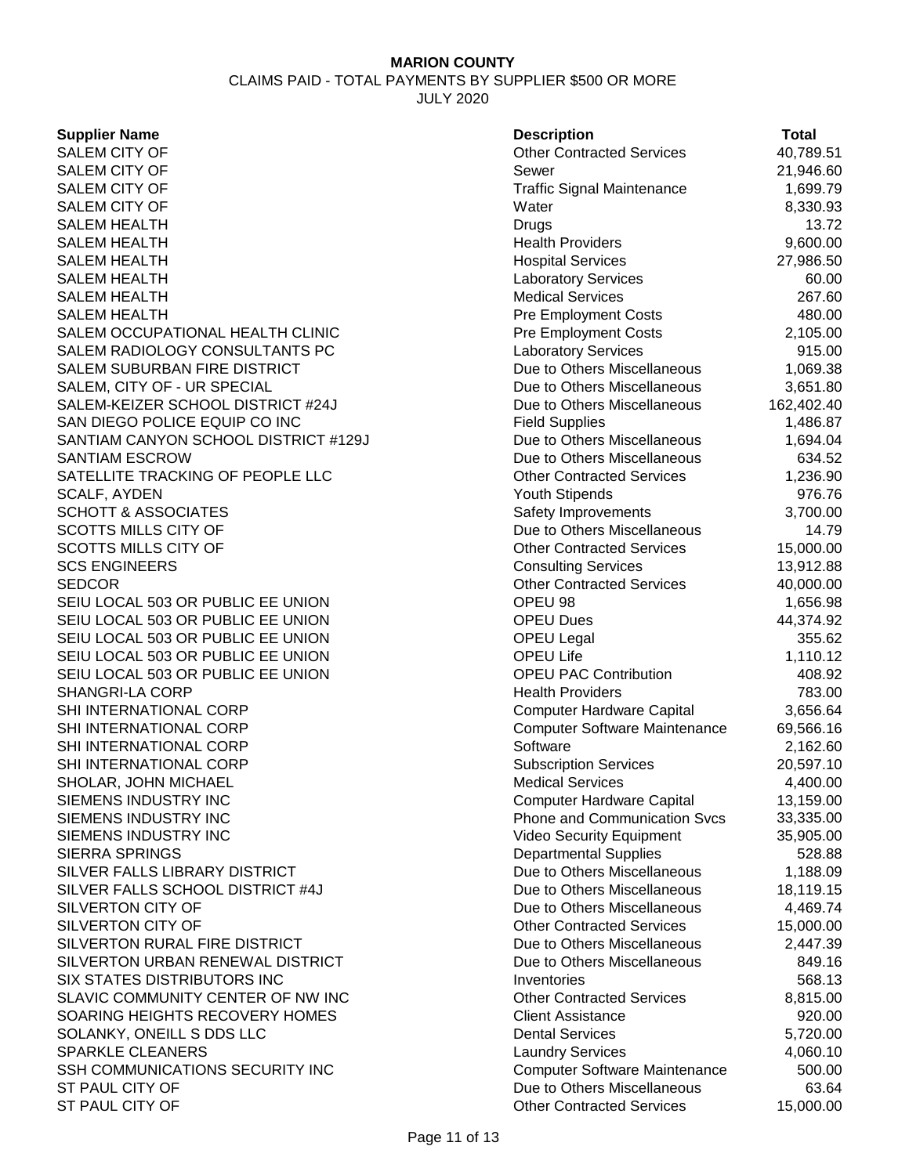CLAIMS PAID - TOTAL PAYMENTS BY SUPPLIER \$500 OR MORE

JULY 2020

SALEM CITY OF SALEM HEALTH<br>SALEM HEALTH SALEM HEALTH SALEM HEALTH SALEM OCCUPATIONAL HEALTH CLINIC SALEM RADIOLOGY CONSULTANTS PC SALEM SUBURBAN FIRE DISTRICT SALEM, CITY OF - UR SPECIAL SALEM-KEIZER SCHOOL DISTRICT #24J SAN DIEGO POLICE EQUIP CO INC SANTIAM CANYON SCHOOL DISTRICT #129J SANTIAM ESCROW SATELLITE TRACKING OF PEOPLE LLC SCALF, AYDEN SCHOTT & ASSOCIATES SCOTTS MILLS CITY OF SCOTTS MILLS CITY OF **SCS ENGINEERS** SEIU LOCAL 503 OR PUBLIC EE UNION SEIU LOCAL 503 OR PUBLIC EE UNION SEIU LOCAL 503 OR PUBLIC EE UNION SEIU LOCAL 503 OR PUBLIC EE UNION SEIU LOCAL 503 OR PUBLIC EE UNION SHANGRI-LA CORP SHI INTERNATIONAL CORP SHI INTERNATIONAL CORP SHI INTERNATIONAL CORP SHI INTERNATIONAL CORP SHOLAR, JOHN MICHAEL SIEMENS INDUSTRY INC SIEMENS INDUSTRY INC SIEMENS INDUSTRY INC **SIERRA SPRINGS** SILVER FALLS LIBRARY DISTRICT SILVER FALLS SCHOOL DISTRICT #4J SILVERTON CITY OF SILVERTON CITY OF SILVERTON RURAL FIRE DISTRICT SILVERTON URBAN RENEWAL DISTRICT SIX STATES DISTRIBUTORS INC SLAVIC COMMUNITY CENTER OF NW INC SOARING HEIGHTS RECOVERY HOMES SOLANKY, ONEILL S DDS LLC SPARKLE CLEANERS SSH COMMUNICATIONS SECURITY INC ST PAUL CITY OF ST PAUL CITY OF

| <b>Supplier Name</b>                 | <b>Description</b>                   | <b>Total</b> |
|--------------------------------------|--------------------------------------|--------------|
| <b>SALEM CITY OF</b>                 | <b>Other Contracted Services</b>     | 40,789.51    |
| SALEM CITY OF                        | Sewer                                | 21,946.60    |
| <b>SALEM CITY OF</b>                 | <b>Traffic Signal Maintenance</b>    | 1,699.79     |
| SALEM CITY OF                        | Water                                | 8,330.93     |
| <b>SALEM HEALTH</b>                  | Drugs                                | 13.72        |
| <b>SALEM HEALTH</b>                  | <b>Health Providers</b>              | 9,600.00     |
| <b>SALEM HEALTH</b>                  | <b>Hospital Services</b>             | 27,986.50    |
| <b>SALEM HEALTH</b>                  | <b>Laboratory Services</b>           | 60.00        |
| <b>SALEM HEALTH</b>                  | <b>Medical Services</b>              | 267.60       |
| SALEM HEALTH                         | Pre Employment Costs                 | 480.00       |
| SALEM OCCUPATIONAL HEALTH CLINIC     | <b>Pre Employment Costs</b>          | 2,105.00     |
| SALEM RADIOLOGY CONSULTANTS PC       | <b>Laboratory Services</b>           | 915.00       |
| SALEM SUBURBAN FIRE DISTRICT         | Due to Others Miscellaneous          | 1,069.38     |
| SALEM, CITY OF - UR SPECIAL          | Due to Others Miscellaneous          | 3,651.80     |
| SALEM-KEIZER SCHOOL DISTRICT #24J    | Due to Others Miscellaneous          | 162,402.40   |
| SAN DIEGO POLICE EQUIP CO INC        | <b>Field Supplies</b>                | 1,486.87     |
| SANTIAM CANYON SCHOOL DISTRICT #129J | Due to Others Miscellaneous          | 1,694.04     |
| <b>SANTIAM ESCROW</b>                | Due to Others Miscellaneous          | 634.52       |
| SATELLITE TRACKING OF PEOPLE LLC     | <b>Other Contracted Services</b>     | 1,236.90     |
| SCALF, AYDEN                         | Youth Stipends                       | 976.76       |
| <b>SCHOTT &amp; ASSOCIATES</b>       | Safety Improvements                  | 3,700.00     |
| <b>SCOTTS MILLS CITY OF</b>          | Due to Others Miscellaneous          | 14.79        |
| SCOTTS MILLS CITY OF                 | <b>Other Contracted Services</b>     | 15,000.00    |
| <b>SCS ENGINEERS</b>                 | <b>Consulting Services</b>           | 13,912.88    |
| SEDCOR                               | <b>Other Contracted Services</b>     | 40,000.00    |
| SEIU LOCAL 503 OR PUBLIC EE UNION    | OPEU 98                              | 1,656.98     |
| SEIU LOCAL 503 OR PUBLIC EE UNION    | <b>OPEU Dues</b>                     | 44,374.92    |
| SEIU LOCAL 503 OR PUBLIC EE UNION    | <b>OPEU Legal</b>                    | 355.62       |
| SEIU LOCAL 503 OR PUBLIC EE UNION    | <b>OPEU Life</b>                     | 1,110.12     |
| SEIU LOCAL 503 OR PUBLIC EE UNION    | <b>OPEU PAC Contribution</b>         | 408.92       |
| <b>SHANGRI-LA CORP</b>               | <b>Health Providers</b>              | 783.00       |
| SHI INTERNATIONAL CORP               | <b>Computer Hardware Capital</b>     | 3,656.64     |
| SHI INTERNATIONAL CORP               | <b>Computer Software Maintenance</b> | 69,566.16    |
| SHI INTERNATIONAL CORP               | Software                             | 2,162.60     |
| SHI INTERNATIONAL CORP               | <b>Subscription Services</b>         | 20,597.10    |
| SHOLAR, JOHN MICHAEL                 | <b>Medical Services</b>              | 4,400.00     |
| SIEMENS INDUSTRY INC                 | <b>Computer Hardware Capital</b>     | 13,159.00    |
| SIEMENS INDUSTRY INC                 | <b>Phone and Communication Svcs</b>  | 33,335.00    |
| SIEMENS INDUSTRY INC                 | <b>Video Security Equipment</b>      | 35,905.00    |
| <b>SIERRA SPRINGS</b>                | <b>Departmental Supplies</b>         | 528.88       |
| SILVER FALLS LIBRARY DISTRICT        | Due to Others Miscellaneous          | 1,188.09     |
| SILVER FALLS SCHOOL DISTRICT #4J     | Due to Others Miscellaneous          | 18,119.15    |
| SILVERTON CITY OF                    | Due to Others Miscellaneous          | 4,469.74     |
| SILVERTON CITY OF                    | <b>Other Contracted Services</b>     | 15,000.00    |
| SILVERTON RURAL FIRE DISTRICT        | Due to Others Miscellaneous          | 2,447.39     |
| SILVERTON URBAN RENEWAL DISTRICT     | Due to Others Miscellaneous          | 849.16       |
| SIX STATES DISTRIBUTORS INC          | Inventories                          | 568.13       |
| SLAVIC COMMUNITY CENTER OF NW INC    | <b>Other Contracted Services</b>     | 8,815.00     |
| SOARING HEIGHTS RECOVERY HOMES       | <b>Client Assistance</b>             | 920.00       |
| SOLANKY, ONEILL S DDS LLC            | <b>Dental Services</b>               | 5,720.00     |
| <b>SPARKLE CLEANERS</b>              | <b>Laundry Services</b>              | 4,060.10     |
| SSH COMMUNICATIONS SECURITY INC      | <b>Computer Software Maintenance</b> | 500.00       |
| ST PAUL CITY OF                      | Due to Others Miscellaneous          | 63.64        |
| ST PAUL CITY OF                      | <b>Other Contracted Services</b>     | 15.000.00    |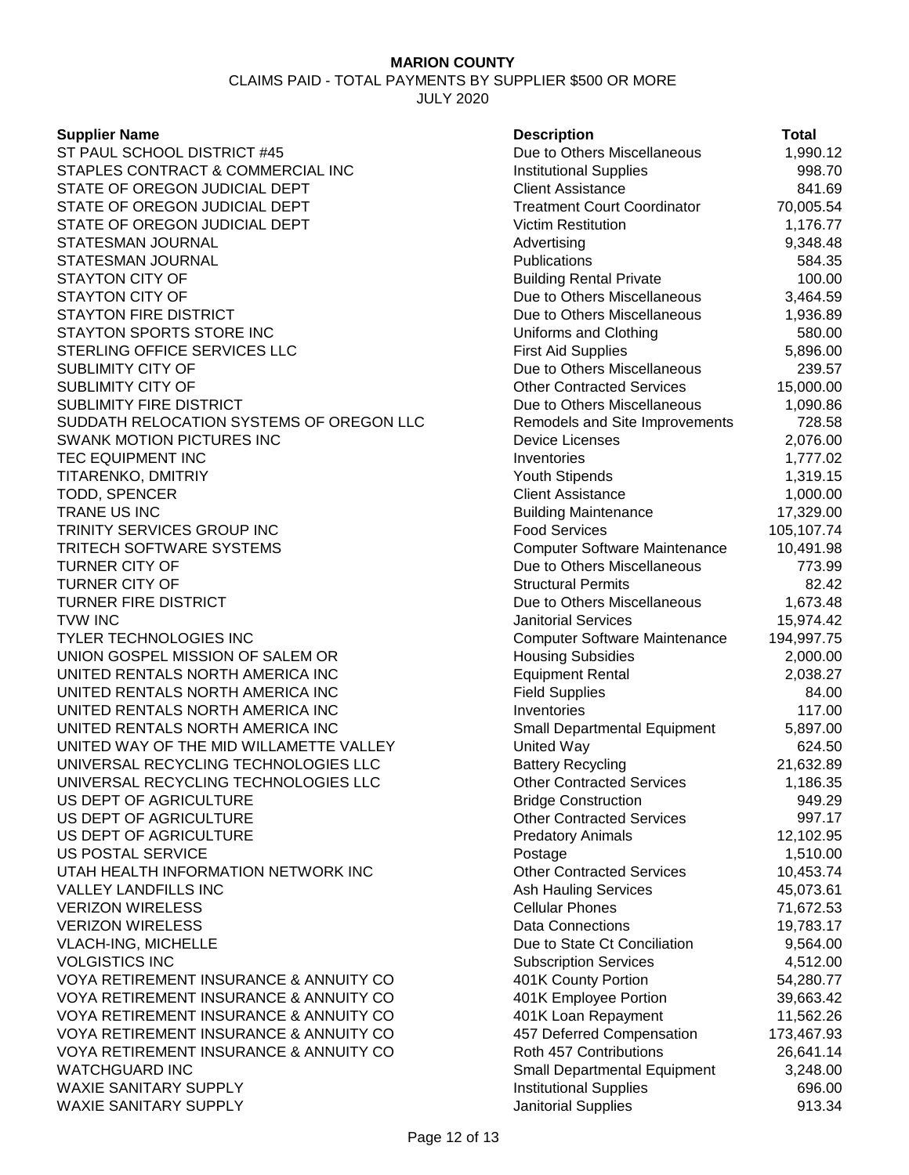CLAIMS PAID - TOTAL PAYMENTS BY SUPPLIER \$500 OR MORE

JULY 2020

#### **Supplier Name**

ST PAUL SCHOOL DISTRICT #45 STAPLES CONTRACT & COMMERCIAL INC STATE OF OREGON JUDICIAL DEPT STATE OF OREGON JUDICIAL DEPT STATE OF OREGON JUDICIAL DEPT STATESMAN JOURNAL STATESMAN JOURNAL STAYTON CITY OF STAYTON CITY OF STAYTON FIRE DISTRICT STAYTON SPORTS STORE INC STERLING OFFICE SERVICES LLC SUBLIMITY CITY OF SUBLIMITY CITY OF SUBLIMITY FIRE DISTRICT SUDDATH RELOCATION SYSTEMS OF OREGON LLC SWANK MOTION PICTURES INC **TEC EQUIPMENT INC** TITARENKO, DMITRIY TODD, SPENCER TRANE US INC Building Maintenance 17,329.00 TRINITY SERVICES GROUP INC **TRITECH SOFTWARE SYSTEMS** TURNER CITY OF **TURNER CITY OF TURNER FIRE DISTRICT** TVW INC Janitorial Services 15,974.42 TYLER TECHNOLOGIES INC UNION GOSPEL MISSION OF SALEM OR UNITED RENTALS NORTH AMERICA INC UNITED RENTALS NORTH AMERICA INC UNITED RENTALS NORTH AMERICA INC UNITED RENTALS NORTH AMERICA INC UNITED WAY OF THE MID WILLAMETTE VALLEY UNIVERSAL RECYCLING TECHNOLOGIES LLC UNIVERSAL RECYCLING TECHNOLOGIES LLC US DEPT OF AGRICULTURE US DEPT OF AGRICULTURE US DEPT OF AGRICULTURE **US POSTAL SERVICE** UTAH HEALTH INFORMATION NETWORK INC VALLEY LANDFILLS INC **VERIZON WIRELESS VERIZON WIRELESS** VLACH-ING, MICHELLE **VOLGISTICS INC** VOYA RETIREMENT INSURANCE & ANNUITY CO VOYA RETIREMENT INSURANCE & ANNUITY CO VOYA RETIREMENT INSURANCE & ANNUITY CO VOYA RETIREMENT INSURANCE & ANNUITY CO VOYA RETIREMENT INSURANCE & ANNUITY CO WATCHGUARD INC WAXIE SANITARY SUPPLY WAXIE SANITARY SUPPLY **All and Supplies** 313.34

|                                                      | <b>Total</b>     |
|------------------------------------------------------|------------------|
| <b>Description</b><br>Due to Others Miscellaneous    | 1,990.12         |
| <b>Institutional Supplies</b>                        | 998.70           |
| <b>Client Assistance</b>                             | 841.69           |
| <b>Treatment Court Coordinator</b>                   | 70,005.54        |
| <b>Victim Restitution</b>                            | 1,176.77         |
| Advertising                                          | 9,348.48         |
| Publications                                         | 584.35           |
| <b>Building Rental Private</b>                       | 100.00           |
| Due to Others Miscellaneous                          | 3,464.59         |
| Due to Others Miscellaneous                          | 1,936.89         |
| Uniforms and Clothing                                | 580.00           |
| <b>First Aid Supplies</b>                            | 5,896.00         |
| Due to Others Miscellaneous                          | 239.57           |
| <b>Other Contracted Services</b>                     | 15,000.00        |
| Due to Others Miscellaneous                          | 1,090.86         |
| Remodels and Site Improvements                       | 728.58           |
| <b>Device Licenses</b>                               | 2,076.00         |
| Inventories                                          | 1,777.02         |
| <b>Youth Stipends</b>                                | 1,319.15         |
| <b>Client Assistance</b>                             | 1,000.00         |
| <b>Building Maintenance</b>                          | 17,329.00        |
| <b>Food Services</b>                                 | 105,107.74       |
| <b>Computer Software Maintenance</b>                 | 10,491.98        |
| Due to Others Miscellaneous                          | 773.99           |
| <b>Structural Permits</b>                            | 82.42            |
| Due to Others Miscellaneous                          | 1,673.48         |
| <b>Janitorial Services</b>                           | 15,974.42        |
| <b>Computer Software Maintenance</b>                 | 194,997.75       |
| <b>Housing Subsidies</b>                             | 2,000.00         |
| <b>Equipment Rental</b>                              | 2,038.27         |
| <b>Field Supplies</b>                                | 84.00            |
| Inventories                                          | 117.00           |
| Small Departmental Equipment                         | 5,897.00         |
| <b>United Way</b>                                    | 624.50           |
| <b>Battery Recycling</b>                             | 21,632.89        |
| <b>Other Contracted Services</b>                     | 1,186.35         |
| <b>Bridge Construction</b>                           | 949.29           |
| <b>Other Contracted Services</b>                     | 997.17           |
| <b>Predatory Animals</b>                             | 12,102.95        |
| Postage                                              | 1,510.00         |
| <b>Other Contracted Services</b>                     | 10,453.74        |
| <b>Ash Hauling Services</b>                          | 45,073.61        |
| <b>Cellular Phones</b>                               | 71,672.53        |
| <b>Data Connections</b>                              | 19,783.17        |
| Due to State Ct Conciliation                         | 9,564.00         |
| <b>Subscription Services</b>                         | 4,512.00         |
| 401K County Portion                                  | 54,280.77        |
| 401K Employee Portion                                | 39,663.42        |
| 401K Loan Repayment                                  | 11,562.26        |
| 457 Deferred Compensation                            | 173,467.93       |
| Roth 457 Contributions                               | 26,641.14        |
| Small Departmental Equipment                         | 3,248.00         |
| <b>Institutional Supplies</b><br>Innitorial Supplies | 696.00<br>013.34 |
|                                                      |                  |